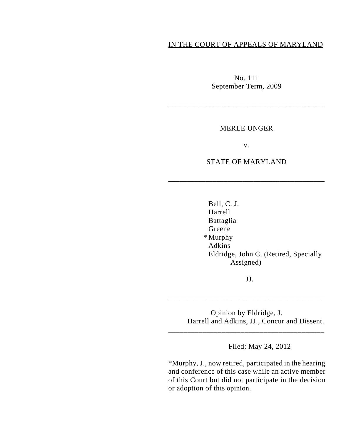# IN THE COURT OF APPEALS OF MARYLAND

No. 111 September Term, 2009

\_\_\_\_\_\_\_\_\_\_\_\_\_\_\_\_\_\_\_\_\_\_\_\_\_\_\_\_\_\_\_\_\_\_\_\_\_\_\_\_\_

### MERLE UNGER

v.

## STATE OF MARYLAND

\_\_\_\_\_\_\_\_\_\_\_\_\_\_\_\_\_\_\_\_\_\_\_\_\_\_\_\_\_\_\_\_\_\_\_\_\_\_\_\_\_\_

Bell, C. J. Harrell Battaglia Greene \* Murphy Adkins Eldridge, John C. (Retired, Specially Assigned)

JJ.

\_\_\_\_\_\_\_\_\_\_\_\_\_\_\_\_\_\_\_\_\_\_\_\_\_\_\_\_\_\_\_\_\_\_\_\_\_\_\_\_\_\_

\_\_\_\_\_\_\_\_\_\_\_\_\_\_\_\_\_\_\_\_\_\_\_\_\_\_\_\_\_\_\_\_\_\_\_\_\_\_\_\_\_

Opinion by Eldridge, J. Harrell and Adkins, JJ., Concur and Dissent.

Filed: May 24, 2012

\*Murphy, J., now retired, participated in the hearing and conference of this case while an active member of this Court but did not participate in the decision or adoption of this opinion.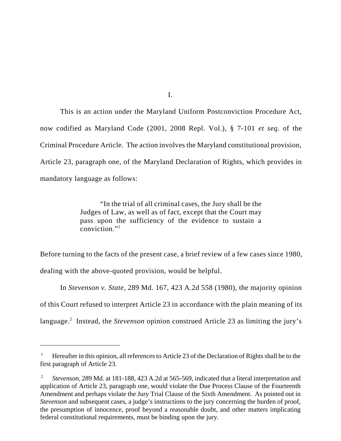This is an action under the Maryland Uniform Postconviction Procedure Act, now codified as Maryland Code (2001, 2008 Repl. Vol.), § 7-101 *et seq.* of the Criminal Procedure Article. The action involves the Maryland constitutional provision, Article 23, paragraph one, of the Maryland Declaration of Rights, which provides in mandatory language as follows:

> "In the trial of all criminal cases, the Jury shall be the Judges of Law, as well as of fact, except that the Court may pass upon the sufficiency of the evidence to sustain a conviction."1

Before turning to the facts of the present case, a brief review of a few cases since 1980, dealing with the above-quoted provision, would be helpful.

In *Stevenson v. State*, 289 Md. 167, 423 A.2d 558 (1980), the majority opinion of this Court refused to interpret Article 23 in accordance with the plain meaning of its language.<sup>2</sup> Instead, the *Stevenson* opinion construed Article 23 as limiting the jury's

I.

<sup>1</sup> Hereafter in this opinion, all references to Article 23 of the Declaration of Rights shall be to the first paragraph of Article 23.

<sup>2</sup> *Stevenson*, 289 Md. at 181-188, 423 A.2d at 565-569, indicated that a literal interpretation and application of Article 23, paragraph one, would violate the Due Process Clause of the Fourteenth Amendment and perhaps violate the Jury Trial Clause of the Sixth Amendment. As pointed out in *Stevenson* and subsequent cases, a judge's instructions to the jury concerning the burden of proof, the presumption of innocence, proof beyond a reasonable doubt, and other matters implicating federal constitutional requirements, must be binding upon the jury.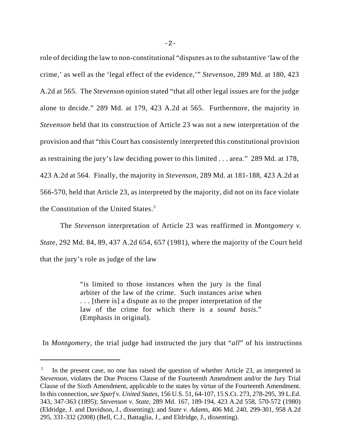role of deciding the law to non-constitutional "disputes as to the substantive 'law of the crime,' as well as the 'legal effect of the evidence,'" *Stevenson*, 289 Md. at 180, 423 A.2d at 565. The *Stevenson* opinion stated "that all other legal issues are for the judge alone to decide." 289 Md. at 179, 423 A.2d at 565. Furthermore, the majority in *Stevenson* held that its construction of Article 23 was not a new interpretation of the provision and that "this Court has consistently interpreted this constitutional provision as restraining the jury's law deciding power to this limited . . . area." 289 Md. at 178, 423 A.2d at 564. Finally, the majority in *Stevenson*, 289 Md. at 181-188, 423 A.2d at 566-570, held that Article 23, as interpreted by the majority, did not on its face violate the Constitution of the United States. $3$ 

The *Stevenson* interpretation of Article 23 was reaffirmed in *Montgomery v. State*, 292 Md. 84, 89, 437 A.2d 654, 657 (1981), where the majority of the Court held that the jury's role as judge of the law

> "is limited to those instances when the jury is the final arbiter of the law of the crime. Such instances arise when . . . [there is] a dispute as to the proper interpretation of the law of the crime for which there is a *sound basis*." (Emphasis in original).

In *Montgomery*, the trial judge had instructed the jury that "*all*" of his instructions

 $3$  In the present case, no one has raised the question of whether Article 23, as interpreted in *Stevenson*, violates the Due Process Clause of the Fourteenth Amendment and/or the Jury Trial Clause of the Sixth Amendment, applicable to the states by virtue of the Fourteenth Amendment. In this connection, *see Sparf v. United States*, 156 U.S. 51, 64-107, 15 S.Ct. 273, 278-295, 39 L.Ed. 343, 347-363 (1895); *Stevenson v. State*, 289 Md. 167, 189-194, 423 A.2d 558, 570-572 (1980) (Eldridge, J. and Davidson, J., dissenting); and *State v. Adams*, 406 Md. 240, 299-301, 958 A.2d 295, 331-332 (2008) (Bell, C.J., Battaglia, J., and Eldridge, J., dissenting).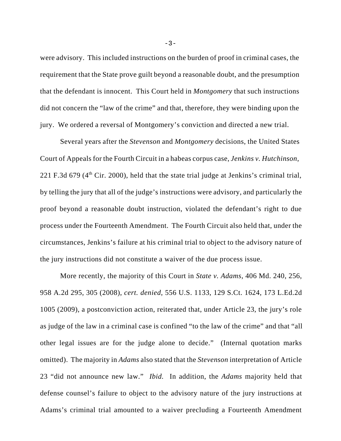were advisory. This included instructions on the burden of proof in criminal cases, the requirement that the State prove guilt beyond a reasonable doubt, and the presumption that the defendant is innocent. This Court held in *Montgomery* that such instructions did not concern the "law of the crime" and that, therefore, they were binding upon the jury. We ordered a reversal of Montgomery's conviction and directed a new trial.

Several years after the *Stevenson* and *Montgomery* decisions, the United States Court of Appeals for the Fourth Circuit in a habeas corpus case, *Jenkins v. Hutchinson*, 221 F.3d 679 ( $4<sup>th</sup>$  Cir. 2000), held that the state trial judge at Jenkins's criminal trial, by telling the jury that all of the judge's instructions were advisory, and particularly the proof beyond a reasonable doubt instruction, violated the defendant's right to due process under the Fourteenth Amendment. The Fourth Circuit also held that, under the circumstances, Jenkins's failure at his criminal trial to object to the advisory nature of the jury instructions did not constitute a waiver of the due process issue.

More recently, the majority of this Court in *State v. Adams*, 406 Md. 240, 256, 958 A.2d 295, 305 (2008), *cert. denied*, 556 U.S. 1133, 129 S.Ct. 1624, 173 L.Ed.2d 1005 (2009), a postconviction action, reiterated that, under Article 23, the jury's role as judge of the law in a criminal case is confined "to the law of the crime" and that "all other legal issues are for the judge alone to decide." (Internal quotation marks omitted). The majority in *Adams* also stated that the *Stevenson* interpretation of Article 23 "did not announce new law." *Ibid.* In addition, the *Adams* majority held that defense counsel's failure to object to the advisory nature of the jury instructions at Adams's criminal trial amounted to a waiver precluding a Fourteenth Amendment

-3-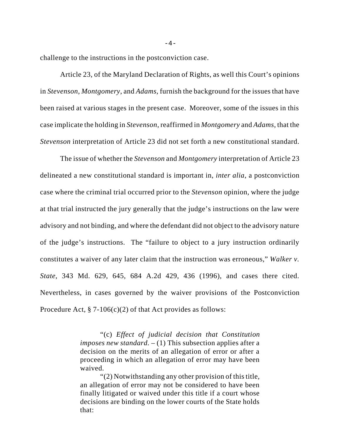challenge to the instructions in the postconviction case.

Article 23, of the Maryland Declaration of Rights, as well this Court's opinions in *Stevenson*, *Montgomery*, and *Adams*, furnish the background for the issues that have been raised at various stages in the present case. Moreover, some of the issues in this case implicate the holding in *Stevenson*, reaffirmed in *Montgomery* and *Adams*, that the *Stevenson* interpretation of Article 23 did not set forth a new constitutional standard.

The issue of whether the *Stevenson* and *Montgomery* interpretation of Article 23 delineated a new constitutional standard is important in, *inter alia*, a postconviction case where the criminal trial occurred prior to the *Stevenson* opinion, where the judge at that trial instructed the jury generally that the judge's instructions on the law were advisory and not binding, and where the defendant did not object to the advisory nature of the judge's instructions. The "failure to object to a jury instruction ordinarily constitutes a waiver of any later claim that the instruction was erroneous," *Walker v. State*, 343 Md. 629, 645, 684 A.2d 429, 436 (1996), and cases there cited. Nevertheless, in cases governed by the waiver provisions of the Postconviction Procedure Act,  $\S$  7-106(c)(2) of that Act provides as follows:

> "(c) *Effect of judicial decision that Constitution imposes new standard.* – (1) This subsection applies after a decision on the merits of an allegation of error or after a proceeding in which an allegation of error may have been waived.

> "(2) Notwithstanding any other provision of this title, an allegation of error may not be considered to have been finally litigated or waived under this title if a court whose decisions are binding on the lower courts of the State holds that: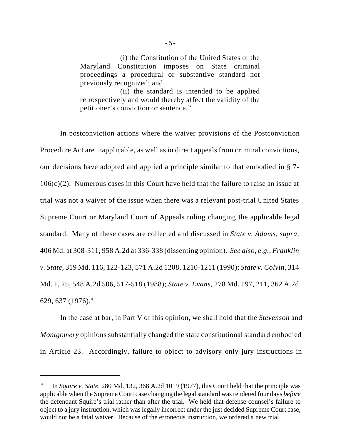(i) the Constitution of the United States or the Maryland Constitution imposes on State criminal proceedings a procedural or substantive standard not previously recognized; and

(ii) the standard is intended to be applied retrospectively and would thereby affect the validity of the petitioner's conviction or sentence."

In postconviction actions where the waiver provisions of the Postconviction Procedure Act are inapplicable, as well as in direct appeals from criminal convictions, our decisions have adopted and applied a principle similar to that embodied in § 7- 106(c)(2). Numerous cases in this Court have held that the failure to raise an issue at trial was not a waiver of the issue when there was a relevant post-trial United States Supreme Court or Maryland Court of Appeals ruling changing the applicable legal standard. Many of these cases are collected and discussed in *State v. Adams, supra*, 406 Md. at 308-311, 958 A.2d at 336-338 (dissenting opinion). *See also, e.g., Franklin v. State*, 319 Md. 116, 122-123, 571 A.2d 1208, 1210-1211 (1990); *State v. Colvin*, 314 Md. 1, 25, 548 A.2d 506, 517-518 (1988); *State v. Evans*, 278 Md. 197, 211, 362 A.2d 629, 637 (1976).<sup>4</sup>

In the case at bar, in Part V of this opinion, we shall hold that the *Stevenson* and *Montgomery* opinions substantially changed the state constitutional standard embodied in Article 23. Accordingly, failure to object to advisory only jury instructions in

<sup>4</sup> In *Squire v. State*, 280 Md. 132, 368 A.2d 1019 (1977), this Court held that the principle was applicable when the Supreme Court case changing the legal standard was rendered four days *before* the defendant Squire's trial rather than after the trial. We held that defense counsel's failure to object to a jury instruction, which was legally incorrect under the just decided Supreme Court case, would not be a fatal waiver. Because of the erroneous instruction, we ordered a new trial.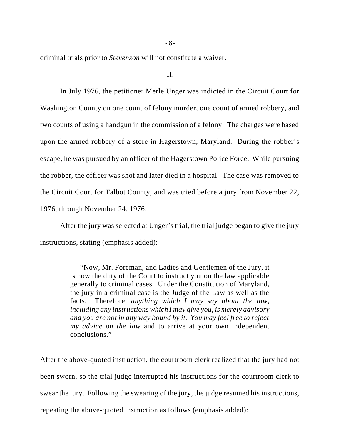-6-

criminal trials prior to *Stevenson* will not constitute a waiver.

II.

In July 1976, the petitioner Merle Unger was indicted in the Circuit Court for Washington County on one count of felony murder, one count of armed robbery, and two counts of using a handgun in the commission of a felony. The charges were based upon the armed robbery of a store in Hagerstown, Maryland. During the robber's escape, he was pursued by an officer of the Hagerstown Police Force. While pursuing the robber, the officer was shot and later died in a hospital. The case was removed to the Circuit Court for Talbot County, and was tried before a jury from November 22, 1976, through November 24, 1976.

After the jury was selected at Unger's trial, the trial judge began to give the jury instructions, stating (emphasis added):

> "Now, Mr. Foreman, and Ladies and Gentlemen of the Jury, it is now the duty of the Court to instruct you on the law applicable generally to criminal cases. Under the Constitution of Maryland, the jury in a criminal case is the Judge of the Law as well as the facts. Therefore, *anything which I may say about the law, including any instructions which I may give you, is merely advisory and you are not in any way bound by it. You may feel free to reject my advice on the law* and to arrive at your own independent conclusions."

After the above-quoted instruction, the courtroom clerk realized that the jury had not been sworn, so the trial judge interrupted his instructions for the courtroom clerk to swear the jury. Following the swearing of the jury, the judge resumed his instructions, repeating the above-quoted instruction as follows (emphasis added):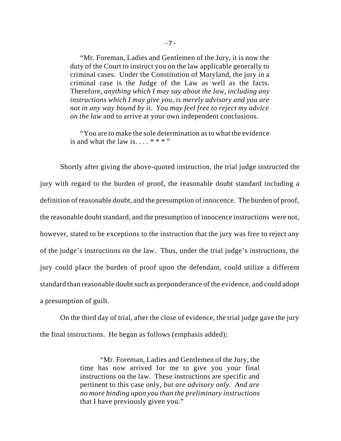"Mr. Foreman, Ladies and Gentlemen of the Jury, it is now the duty of the Court to instruct you on the law applicable generally to criminal cases. Under the Constitution of Maryland, the jury in a criminal case is the Judge of the Law as well as the facts. Therefore, *anything which I may say about the law, including any instructions which I may give you, is merely advisory and you are not in any way bound by it. You may feel free to reject my advice on the law* and to arrive at your own independent conclusions.

"You are to make the sole determination as to what the evidence is and what the law is....  $***$ "

Shortly after giving the above-quoted instruction, the trial judge instructed the jury with regard to the burden of proof, the reasonable doubt standard including a definition of reasonable doubt, and the presumption of innocence. The burden of proof, the reasonable doubt standard, and the presumption of innocence instructions were not, however, stated to be exceptions to the instruction that the jury was free to reject any of the judge's instructions on the law. Thus, under the trial judge's instructions, the jury could place the burden of proof upon the defendant, could utilize a different standard than reasonable doubt such as preponderance of the evidence, and could adopt a presumption of guilt.

On the third day of trial, after the close of evidence, the trial judge gave the jury the final instructions. He began as follows (emphasis added):

> "Mr. Foreman, Ladies and Gentlemen of the Jury, the time has now arrived for me to give you your final instructions on the law. These instructions are specific and pertinent to this case only, *but are advisory only. And are no more binding upon you than the preliminary instructions* that I have previously given you."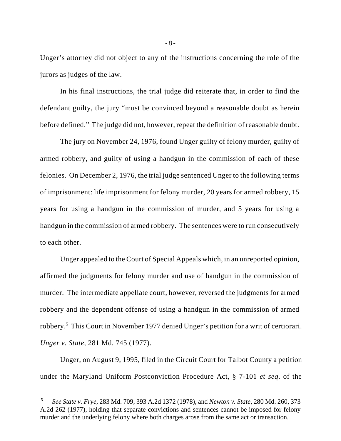Unger's attorney did not object to any of the instructions concerning the role of the jurors as judges of the law.

In his final instructions, the trial judge did reiterate that, in order to find the defendant guilty, the jury "must be convinced beyond a reasonable doubt as herein before defined." The judge did not, however, repeat the definition of reasonable doubt.

The jury on November 24, 1976, found Unger guilty of felony murder, guilty of armed robbery, and guilty of using a handgun in the commission of each of these felonies. On December 2, 1976, the trial judge sentenced Unger to the following terms of imprisonment: life imprisonment for felony murder, 20 years for armed robbery, 15 years for using a handgun in the commission of murder, and 5 years for using a handgun in the commission of armed robbery. The sentences were to run consecutively to each other.

Unger appealed to the Court of Special Appeals which, in an unreported opinion, affirmed the judgments for felony murder and use of handgun in the commission of murder. The intermediate appellate court, however, reversed the judgments for armed robbery and the dependent offense of using a handgun in the commission of armed robbery.5 This Court in November 1977 denied Unger's petition for a writ of certiorari. *Unger v. State*, 281 Md. 745 (1977).

Unger, on August 9, 1995, filed in the Circuit Court for Talbot County a petition under the Maryland Uniform Postconviction Procedure Act, § 7-101 *et seq*. of the

<sup>5</sup> *See State v. Frye*, 283 Md. 709, 393 A.2d 1372 (1978), and *Newton v. State*, 280 Md. 260, 373 A.2d 262 (1977), holding that separate convictions and sentences cannot be imposed for felony murder and the underlying felony where both charges arose from the same act or transaction.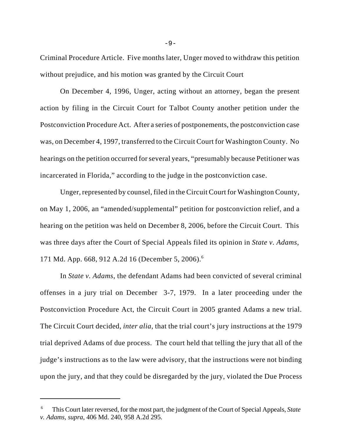Criminal Procedure Article. Five months later, Unger moved to withdraw this petition without prejudice, and his motion was granted by the Circuit Court

On December 4, 1996, Unger, acting without an attorney, began the present action by filing in the Circuit Court for Talbot County another petition under the Postconviction Procedure Act. After a series of postponements, the postconviction case was, on December 4, 1997, transferred to the Circuit Court for Washington County. No hearings on the petition occurred for several years, "presumably because Petitioner was incarcerated in Florida," according to the judge in the postconviction case.

Unger, represented by counsel, filed in the Circuit Court for Washington County, on May 1, 2006, an "amended/supplemental" petition for postconviction relief, and a hearing on the petition was held on December 8, 2006, before the Circuit Court. This was three days after the Court of Special Appeals filed its opinion in *State v. Adams*, 171 Md. App. 668, 912 A.2d 16 (December 5, 2006).6

In *State v. Adams*, the defendant Adams had been convicted of several criminal offenses in a jury trial on December 3-7, 1979. In a later proceeding under the Postconviction Procedure Act, the Circuit Court in 2005 granted Adams a new trial. The Circuit Court decided, *inter alia*, that the trial court's jury instructions at the 1979 trial deprived Adams of due process. The court held that telling the jury that all of the judge's instructions as to the law were advisory, that the instructions were not binding upon the jury, and that they could be disregarded by the jury, violated the Due Process

<sup>6</sup> This Court later reversed, for the most part, the judgment of the Court of Special Appeals, *State v. Adams, supra*, 406 Md. 240, 958 A.2d 295.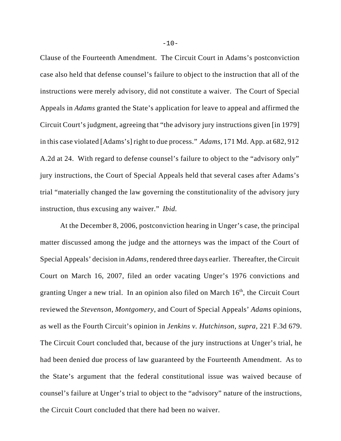Clause of the Fourteenth Amendment. The Circuit Court in Adams's postconviction case also held that defense counsel's failure to object to the instruction that all of the instructions were merely advisory, did not constitute a waiver. The Court of Special Appeals in *Adams* granted the State's application for leave to appeal and affirmed the Circuit Court's judgment, agreeing that "the advisory jury instructions given [in 1979] in this case violated [Adams's] right to due process." *Adams*, 171 Md. App. at 682, 912 A.2d at 24. With regard to defense counsel's failure to object to the "advisory only" jury instructions, the Court of Special Appeals held that several cases after Adams's trial "materially changed the law governing the constitutionality of the advisory jury instruction, thus excusing any waiver." *Ibid.*

At the December 8, 2006, postconviction hearing in Unger's case, the principal matter discussed among the judge and the attorneys was the impact of the Court of Special Appeals' decision in *Adams*, rendered three days earlier. Thereafter, the Circuit Court on March 16, 2007, filed an order vacating Unger's 1976 convictions and granting Unger a new trial. In an opinion also filed on March  $16<sup>th</sup>$ , the Circuit Court reviewed the *Stevenson*, *Montgomery*, and Court of Special Appeals' *Adams* opinions, as well as the Fourth Circuit's opinion in *Jenkins v. Hutchinson*, *supra*, 221 F.3d 679. The Circuit Court concluded that, because of the jury instructions at Unger's trial, he had been denied due process of law guaranteed by the Fourteenth Amendment. As to the State's argument that the federal constitutional issue was waived because of counsel's failure at Unger's trial to object to the "advisory" nature of the instructions, the Circuit Court concluded that there had been no waiver.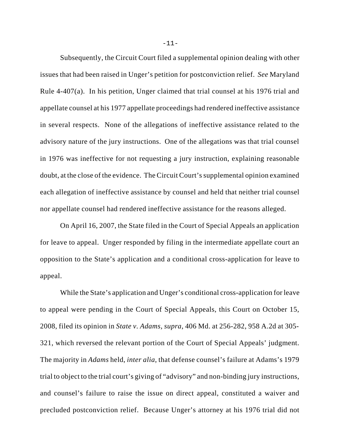Subsequently, the Circuit Court filed a supplemental opinion dealing with other issues that had been raised in Unger's petition for postconviction relief. *See* Maryland Rule 4-407(a). In his petition, Unger claimed that trial counsel at his 1976 trial and appellate counsel at his 1977 appellate proceedings had rendered ineffective assistance in several respects. None of the allegations of ineffective assistance related to the advisory nature of the jury instructions. One of the allegations was that trial counsel in 1976 was ineffective for not requesting a jury instruction, explaining reasonable doubt, at the close of the evidence. The Circuit Court's supplemental opinion examined each allegation of ineffective assistance by counsel and held that neither trial counsel nor appellate counsel had rendered ineffective assistance for the reasons alleged.

On April 16, 2007, the State filed in the Court of Special Appeals an application for leave to appeal. Unger responded by filing in the intermediate appellate court an opposition to the State's application and a conditional cross-application for leave to appeal.

While the State's application and Unger's conditional cross-application for leave to appeal were pending in the Court of Special Appeals, this Court on October 15, 2008, filed its opinion in *State v. Adams, supra*, 406 Md. at 256-282, 958 A.2d at 305- 321, which reversed the relevant portion of the Court of Special Appeals' judgment. The majority in *Adams* held, *inter alia*, that defense counsel's failure at Adams's 1979 trial to object to the trial court's giving of "advisory" and non-binding jury instructions, and counsel's failure to raise the issue on direct appeal, constituted a waiver and precluded postconviction relief. Because Unger's attorney at his 1976 trial did not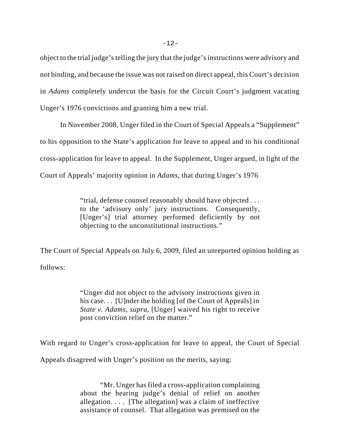object to the trial judge's telling the jury that the judge's instructions were advisory and not binding, and because the issue was not raised on direct appeal, this Court's decision in *Adams* completely undercut the basis for the Circuit Court's judgment vacating Unger's 1976 convictions and granting him a new trial.

In November 2008, Unger filed in the Court of Special Appeals a "Supplement" to his opposition to the State's application for leave to appeal and to his conditional cross-application for leave to appeal. In the Supplement, Unger argued, in light of the Court of Appeals' majority opinion in *Adams*, that during Unger's 1976

> "trial, defense counsel reasonably should have objected . . . to the 'advisory only' jury instructions. Consequently, [Unger's] trial attorney performed deficiently by not objecting to the unconstitutional instructions."

The Court of Special Appeals on July 6, 2009, filed an unreported opinion holding as follows:

> "Unger did not object to the advisory instructions given in his case... [U]nder the holding [of the Court of Appeals] in *State v. Adams, supra*, [Unger] waived his right to receive post conviction relief on the matter."

With regard to Unger's cross-application for leave to appeal, the Court of Special

Appeals disagreed with Unger's position on the merits, saying:

"Mr. Unger has filed a cross-application complaining about the hearing judge's denial of relief on another allegation. . . . [The allegation] was a claim of ineffective assistance of counsel. That allegation was premised on the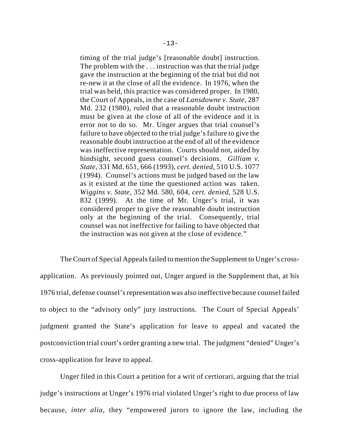timing of the trial judge's [reasonable doubt] instruction. The problem with the . . . instruction was that the trial judge gave the instruction at the beginning of the trial but did not re-new it at the close of all the evidence. In 1976, when the trial was held, this practice was considered proper. In 1980, the Court of Appeals, in the case of *Lansdowne v. State*, 287 Md. 232 (1980), ruled that a reasonable doubt instruction must be given at the close of all of the evidence and it is error not to do so. Mr. Unger argues that trial counsel's failure to have objected to the trial judge's failure to give the reasonable doubt instruction at the end of all of the evidence was ineffective representation. Courts should not, aided by hindsight, second guess counsel's decisions. *Gilliam v. State*, 331 Md. 651, 666 (1993), *cert. denied*, 510 U.S. 1077 (1994). Counsel's actions must be judged based on the law as it existed at the time the questioned action was taken. *Wiggins v. State*, 352 Md. 580, 604, *cert. denied*, 528 U.S. 832 (1999). At the time of Mr. Unger's trial, it was considered proper to give the reasonable doubt instruction only at the beginning of the trial. Consequently, trial counsel was not ineffective for failing to have objected that the instruction was not given at the close of evidence."

The Court of Special Appeals failed to mention the Supplement to Unger's crossapplication. As previously pointed out, Unger argued in the Supplement that, at his 1976 trial, defense counsel's representation was also ineffective because counsel failed to object to the "advisory only" jury instructions. The Court of Special Appeals' judgment granted the State's application for leave to appeal and vacated the postconviction trial court's order granting a new trial. The judgment "denied" Unger's cross-application for leave to appeal.

Unger filed in this Court a petition for a writ of certiorari, arguing that the trial judge's instructions at Unger's 1976 trial violated Unger's right to due process of law because, *inter alia,* they "empowered jurors to ignore the law, including the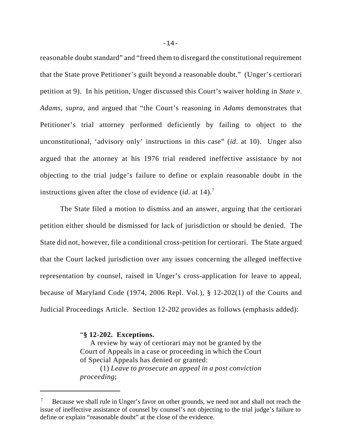reasonable doubt standard" and "freed them to disregard the constitutional requirement that the State prove Petitioner's guilt beyond a reasonable doubt." (Unger's certiorari petition at 9). In his petition, Unger discussed this Court's waiver holding in *State v. Adams, supra*, and argued that "the Court's reasoning in *Adams* demonstrates that Petitioner's trial attorney performed deficiently by failing to object to the unconstitutional, 'advisory only' instructions in this case" (*id*. at 10). Unger also argued that the attorney at his 1976 trial rendered ineffective assistance by not objecting to the trial judge's failure to define or explain reasonable doubt in the instructions given after the close of evidence (*id.* at 14).<sup>7</sup>

The State filed a motion to dismiss and an answer, arguing that the certiorari petition either should be dismissed for lack of jurisdiction or should be denied. The State did not, however, file a conditional cross-petition for certiorari. The State argued that the Court lacked jurisdiction over any issues concerning the alleged ineffective representation by counsel, raised in Unger's cross-application for leave to appeal, because of Maryland Code (1974, 2006 Repl. Vol.), § 12-202(1) of the Courts and Judicial Proceedings Article. Section 12-202 provides as follows (emphasis added):

"**§ 12-202. Exceptions.**

A review by way of certiorari may not be granted by the Court of Appeals in a case or proceeding in which the Court of Special Appeals has denied or granted: (1) *Leave to prosecute an appeal in a post conviction*

*proceeding*;

Because we shall rule in Unger's favor on other grounds, we need not and shall not reach the issue of ineffective assistance of counsel by counsel's not objecting to the trial judge's failure to define or explain "reasonable doubt" at the close of the evidence.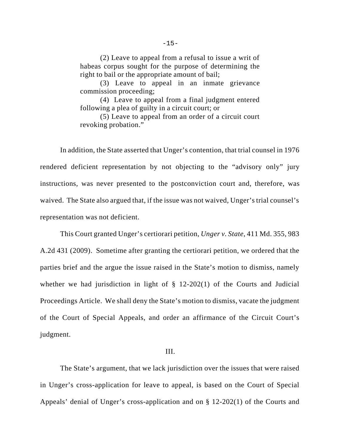(2) Leave to appeal from a refusal to issue a writ of habeas corpus sought for the purpose of determining the right to bail or the appropriate amount of bail;

(3) Leave to appeal in an inmate grievance commission proceeding;

(4) Leave to appeal from a final judgment entered following a plea of guilty in a circuit court; or

(5) Leave to appeal from an order of a circuit court revoking probation."

In addition, the State asserted that Unger's contention, that trial counsel in 1976 rendered deficient representation by not objecting to the "advisory only" jury instructions, was never presented to the postconviction court and, therefore, was waived. The State also argued that, if the issue was not waived, Unger's trial counsel's representation was not deficient.

This Court granted Unger's certiorari petition, *Unger v. State*, 411 Md. 355, 983 A.2d 431 (2009). Sometime after granting the certiorari petition, we ordered that the parties brief and the argue the issue raised in the State's motion to dismiss, namely whether we had jurisdiction in light of  $\S$  12-202(1) of the Courts and Judicial Proceedings Article. We shall deny the State's motion to dismiss, vacate the judgment of the Court of Special Appeals, and order an affirmance of the Circuit Court's judgment.

#### III.

The State's argument, that we lack jurisdiction over the issues that were raised in Unger's cross-application for leave to appeal, is based on the Court of Special Appeals' denial of Unger's cross-application and on § 12-202(1) of the Courts and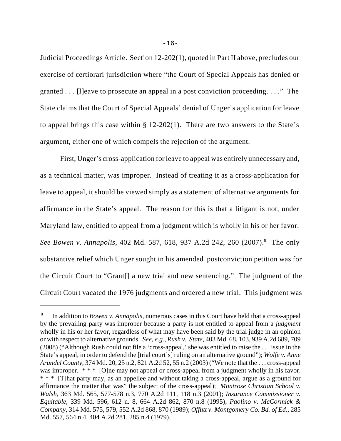Judicial Proceedings Article. Section 12-202(1), quoted in Part II above, precludes our exercise of certiorari jurisdiction where "the Court of Special Appeals has denied or granted . . . [l]eave to prosecute an appeal in a post conviction proceeding. . . ." The State claims that the Court of Special Appeals' denial of Unger's application for leave to appeal brings this case within § 12-202(1). There are two answers to the State's argument, either one of which compels the rejection of the argument.

First, Unger's cross-application for leave to appeal was entirely unnecessary and, as a technical matter, was improper. Instead of treating it as a cross-application for leave to appeal, it should be viewed simply as a statement of alternative arguments for affirmance in the State's appeal. The reason for this is that a litigant is not, under Maryland law, entitled to appeal from a judgment which is wholly in his or her favor. See Bowen v. Annapolis, 402 Md. 587, 618, 937 A.2d 242, 260 (2007).<sup>8</sup> The only substantive relief which Unger sought in his amended postconviction petition was for the Circuit Court to "Grant[] a new trial and new sentencing." The judgment of the Circuit Court vacated the 1976 judgments and ordered a new trial. This judgment was

<sup>8</sup> In addition to *Bowen v. Annapolis*, numerous cases in this Court have held that a cross-appeal by the prevailing party was improper because a party is not entitled to appeal from a *judgment* wholly in his or her favor, regardless of what may have been said by the trial judge in an opinion or with respect to alternative grounds. *See, e.g., Rush v. State*, 403 Md. 68, 103, 939 A.2d 689, 709 (2008) ("Although Rush could not file a 'cross-appeal,' she was entitled to raise the . . . issue in the State's appeal, in order to defend the [trial court's] ruling on an alternative ground"); *Wolfe v. Anne Arundel County*, 374 Md. 20, 25 n.2, 821 A.2d 52, 55 n.2 (2003) ("We note that the . . . cross-appeal was improper. \*\*\* [O]ne may not appeal or cross-appeal from a judgment wholly in his favor. \* \* \* [T]hat party may, as an appellee and without taking a cross-appeal, argue as a ground for affirmance the matter that was" the subject of the cross-appeal); *Montrose Christian School v. Walsh*, 363 Md. 565, 577-578 n.3, 770 A.2d 111, 118 n.3 (2001); *Insurance Commissioner v. Equitable*, 339 Md. 596, 612 n. 8, 664 A.2d 862, 870 n.8 (1995); *Paolino v. McCormick & Company*, 314 Md. 575, 579, 552 A.2d 868, 870 (1989); *Offutt v. Montgomery Co. Bd. of Ed.*, 285 Md. 557, 564 n.4, 404 A.2d 281, 285 n.4 (1979).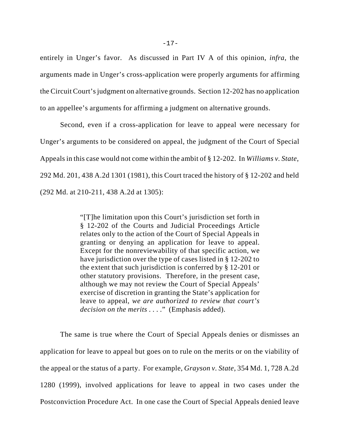entirely in Unger's favor. As discussed in Part IV A of this opinion, *infra*, the arguments made in Unger's cross-application were properly arguments for affirming the Circuit Court's judgment on alternative grounds. Section 12-202 has no application to an appellee's arguments for affirming a judgment on alternative grounds.

Second, even if a cross-application for leave to appeal were necessary for Unger's arguments to be considered on appeal, the judgment of the Court of Special Appeals in this case would not come within the ambit of § 12-202. In *Williams v. State*, 292 Md. 201, 438 A.2d 1301 (1981), this Court traced the history of § 12-202 and held (292 Md. at 210-211, 438 A.2d at 1305):

> "[T]he limitation upon this Court's jurisdiction set forth in § 12-202 of the Courts and Judicial Proceedings Article relates only to the action of the Court of Special Appeals in granting or denying an application for leave to appeal. Except for the nonreviewability of that specific action, we have jurisdiction over the type of cases listed in § 12-202 to the extent that such jurisdiction is conferred by § 12-201 or other statutory provisions. Therefore, in the present case, although we may not review the Court of Special Appeals' exercise of discretion in granting the State's application for leave to appeal, *we are authorized to review that court's decision on the merits* . . . ." (Emphasis added).

The same is true where the Court of Special Appeals denies or dismisses an application for leave to appeal but goes on to rule on the merits or on the viability of the appeal or the status of a party. For example, *Grayson v. State*, 354 Md. 1, 728 A.2d 1280 (1999), involved applications for leave to appeal in two cases under the Postconviction Procedure Act. In one case the Court of Special Appeals denied leave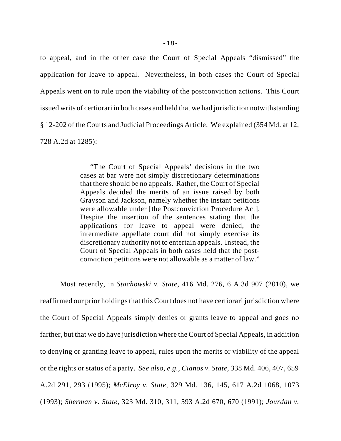to appeal, and in the other case the Court of Special Appeals "dismissed" the application for leave to appeal. Nevertheless, in both cases the Court of Special Appeals went on to rule upon the viability of the postconviction actions. This Court issued writs of certiorari in both cases and held that we had jurisdiction notwithstanding § 12-202 of the Courts and Judicial Proceedings Article. We explained (354 Md. at 12, 728 A.2d at 1285):

> "The Court of Special Appeals' decisions in the two cases at bar were not simply discretionary determinations that there should be no appeals. Rather, the Court of Special Appeals decided the merits of an issue raised by both Grayson and Jackson, namely whether the instant petitions were allowable under [the Postconviction Procedure Act]. Despite the insertion of the sentences stating that the applications for leave to appeal were denied, the intermediate appellate court did not simply exercise its discretionary authority not to entertain appeals. Instead, the Court of Special Appeals in both cases held that the postconviction petitions were not allowable as a matter of law."

Most recently, in *Stachowski v. State*, 416 Md. 276, 6 A.3d 907 (2010), we reaffirmed our prior holdings that this Court does not have certiorari jurisdiction where the Court of Special Appeals simply denies or grants leave to appeal and goes no farther, but that we do have jurisdiction where the Court of Special Appeals, in addition to denying or granting leave to appeal, rules upon the merits or viability of the appeal or the rights or status of a party. *See also, e.g., Cianos v. State*, 338 Md. 406, 407, 659 A.2d 291, 293 (1995); *McElroy v. State*, 329 Md. 136, 145, 617 A.2d 1068, 1073 (1993); *Sherman v. State*, 323 Md. 310, 311, 593 A.2d 670, 670 (1991); *Jourdan v.*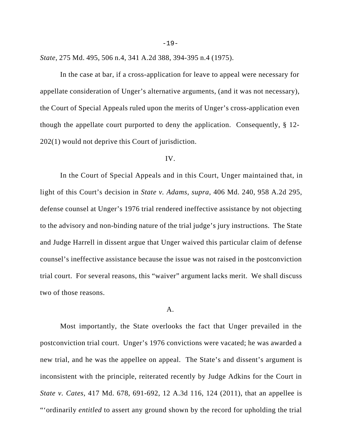*State*, 275 Md. 495, 506 n.4, 341 A.2d 388, 394-395 n.4 (1975).

In the case at bar, if a cross-application for leave to appeal were necessary for appellate consideration of Unger's alternative arguments, (and it was not necessary), the Court of Special Appeals ruled upon the merits of Unger's cross-application even though the appellate court purported to deny the application. Consequently, § 12- 202(1) would not deprive this Court of jurisdiction.

#### IV.

In the Court of Special Appeals and in this Court, Unger maintained that, in light of this Court's decision in *State v. Adams, supra*, 406 Md. 240, 958 A.2d 295, defense counsel at Unger's 1976 trial rendered ineffective assistance by not objecting to the advisory and non-binding nature of the trial judge's jury instructions. The State and Judge Harrell in dissent argue that Unger waived this particular claim of defense counsel's ineffective assistance because the issue was not raised in the postconviction trial court. For several reasons, this "waiver" argument lacks merit. We shall discuss two of those reasons.

### A.

Most importantly, the State overlooks the fact that Unger prevailed in the postconviction trial court. Unger's 1976 convictions were vacated; he was awarded a new trial, and he was the appellee on appeal. The State's and dissent's argument is inconsistent with the principle, reiterated recently by Judge Adkins for the Court in *State v. Cates*, 417 Md. 678, 691-692, 12 A.3d 116, 124 (2011), that an appellee is "'ordinarily *entitled* to assert any ground shown by the record for upholding the trial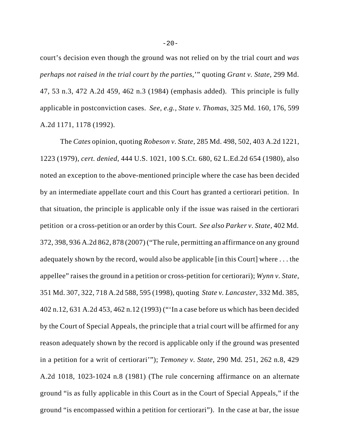court's decision even though the ground was not relied on by the trial court and *was perhaps not raised in the trial court by the parties*,'" quoting *Grant v. State*, 299 Md. 47, 53 n.3, 472 A.2d 459, 462 n.3 (1984) (emphasis added). This principle is fully applicable in postconviction cases. *See, e.g., State v. Thomas*, 325 Md. 160, 176, 599 A.2d 1171, 1178 (1992).

The *Cates* opinion, quoting *Robeson v. State*, 285 Md. 498, 502, 403 A.2d 1221, 1223 (1979), *cert. denied*, 444 U.S. 1021, 100 S.Ct. 680, 62 L.Ed.2d 654 (1980), also noted an exception to the above-mentioned principle where the case has been decided by an intermediate appellate court and this Court has granted a certiorari petition. In that situation, the principle is applicable only if the issue was raised in the certiorari petition or a cross-petition or an order by this Court. *See also Parker v. State,* 402 Md. 372, 398, 936 A.2d 862, 878 (2007) ("The rule, permitting an affirmance on any ground adequately shown by the record, would also be applicable [in this Court] where . . . the appellee" raises the ground in a petition or cross-petition for certiorari); *Wynn v. State*, 351 Md. 307, 322, 718 A.2d 588, 595 (1998), quoting *State v. Lancaster*, 332 Md. 385, 402 n.12, 631 A.2d 453, 462 n.12 (1993) ("'In a case before us which has been decided by the Court of Special Appeals, the principle that a trial court will be affirmed for any reason adequately shown by the record is applicable only if the ground was presented in a petition for a writ of certiorari'"); *Temoney v. State*, 290 Md. 251, 262 n.8, 429 A.2d 1018, 1023-1024 n.8 (1981) (The rule concerning affirmance on an alternate ground "is as fully applicable in this Court as in the Court of Special Appeals," if the ground "is encompassed within a petition for certiorari"). In the case at bar, the issue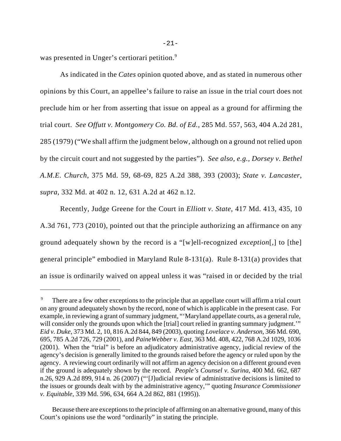was presented in Unger's certiorari petition.<sup>9</sup>

As indicated in the *Cates* opinion quoted above, and as stated in numerous other opinions by this Court, an appellee's failure to raise an issue in the trial court does not preclude him or her from asserting that issue on appeal as a ground for affirming the trial court. *See Offutt v. Montgomery Co. Bd. of Ed.*, 285 Md. 557, 563, 404 A.2d 281, 285 (1979) ("We shall affirm the judgment below, although on a ground not relied upon by the circuit court and not suggested by the parties"). *See also, e.g., Dorsey v. Bethel A.M.E. Church*, 375 Md. 59, 68-69, 825 A.2d 388, 393 (2003); *State v. Lancaster, supra*, 332 Md. at 402 n. 12, 631 A.2d at 462 n.12.

Recently, Judge Greene for the Court in *Elliott v. State*, 417 Md. 413, 435, 10 A.3d 761, 773 (2010), pointed out that the principle authorizing an affirmance on any ground adequately shown by the record is a "[w]ell-recognized *exception*[,] to [the] general principle" embodied in Maryland Rule 8-131(a). Rule 8-131(a) provides that an issue is ordinarily waived on appeal unless it was "raised in or decided by the trial

<sup>&</sup>lt;sup>9</sup> There are a few other exceptions to the principle that an appellate court will affirm a trial court on any ground adequately shown by the record, none of which is applicable in the present case. For example, in reviewing a grant of summary judgment, "'Maryland appellate courts, as a general rule, will consider only the grounds upon which the [trial] court relied in granting summary judgment." *Eid v. Duke*, 373 Md. 2, 10, 816 A.2d 844, 849 (2003), quoting *Lovelace v. Anderson*, 366 Md. 690, 695, 785 A.2d 726, 729 (2001), and *PaineWebber v. East*, 363 Md. 408, 422, 768 A.2d 1029, 1036 (2001). When the "trial" is before an adjudicatory administrative agency, judicial review of the agency's decision is generally limited to the grounds raised before the agency or ruled upon by the agency. A reviewing court ordinarily will not affirm an agency decision on a different ground even if the ground is adequately shown by the record. *People's Counsel v. Surina*, 400 Md. 662, 687 n.26, 929 A.2d 899, 914 n. 26 (2007) ("'[J]udicial review of administrative decisions is limited to the issues or grounds dealt with by the administrative agency,'" quoting *Insurance Commissioner v. Equitable*, 339 Md. 596, 634, 664 A.2d 862, 881 (1995)).

Because there are exceptions to the principle of affirming on an alternative ground, many of this Court's opinions use the word "ordinarily" in stating the principle.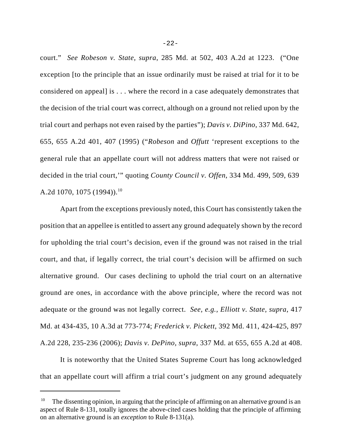court." *See Robeson v. State, supra*, 285 Md. at 502, 403 A.2d at 1223. ("One exception [to the principle that an issue ordinarily must be raised at trial for it to be considered on appeal] is . . . where the record in a case adequately demonstrates that the decision of the trial court was correct, although on a ground not relied upon by the trial court and perhaps not even raised by the parties"); *Davis v. DiPino*, 337 Md. 642, 655, 655 A.2d 401, 407 (1995) ("*Robeson* and *Offutt* 'represent exceptions to the general rule that an appellate court will not address matters that were not raised or decided in the trial court,'" quoting *County Council v. Offen*, 334 Md. 499, 509, 639 A.2d 1070, 1075 (1994)).<sup>10</sup>

Apart from the exceptions previously noted, this Court has consistently taken the position that an appellee is entitled to assert any ground adequately shown by the record for upholding the trial court's decision, even if the ground was not raised in the trial court, and that, if legally correct, the trial court's decision will be affirmed on such alternative ground. Our cases declining to uphold the trial court on an alternative ground are ones, in accordance with the above principle, where the record was not adequate or the ground was not legally correct. *See, e.g., Elliott v. State, supra*, 417 Md. at 434-435, 10 A.3d at 773-774; *Frederick v. Pickett*, 392 Md. 411, 424-425, 897 A.2d 228, 235-236 (2006); *Davis v. DePino, supra*, 337 Md. at 655, 655 A.2d at 408.

It is noteworthy that the United States Supreme Court has long acknowledged that an appellate court will affirm a trial court's judgment on any ground adequately

<sup>&</sup>lt;sup>10</sup> The dissenting opinion, in arguing that the principle of affirming on an alternative ground is an aspect of Rule 8-131, totally ignores the above-cited cases holding that the principle of affirming on an alternative ground is an *exception* to Rule 8-131(a).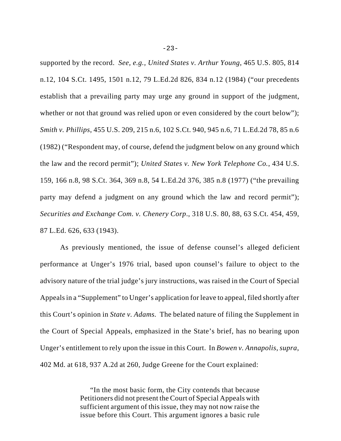supported by the record. *See, e.g., United States v. Arthur Young*, 465 U.S. 805, 814 n.12, 104 S.Ct. 1495, 1501 n.12, 79 L.Ed.2d 826, 834 n.12 (1984) ("our precedents establish that a prevailing party may urge any ground in support of the judgment, whether or not that ground was relied upon or even considered by the court below"); *Smith v. Phillips*, 455 U.S. 209, 215 n.6, 102 S.Ct. 940, 945 n.6, 71 L.Ed.2d 78, 85 n.6 (1982) ("Respondent may, of course, defend the judgment below on any ground which the law and the record permit"); *United States v. New York Telephone Co.*, 434 U.S. 159, 166 n.8, 98 S.Ct. 364, 369 n.8, 54 L.Ed.2d 376, 385 n.8 (1977) ("the prevailing party may defend a judgment on any ground which the law and record permit"); *Securities and Exchange Com. v. Chenery Corp*., 318 U.S. 80, 88, 63 S.Ct. 454, 459, 87 L.Ed. 626, 633 (1943).

As previously mentioned, the issue of defense counsel's alleged deficient performance at Unger's 1976 trial, based upon counsel's failure to object to the advisory nature of the trial judge's jury instructions, was raised in the Court of Special Appeals in a "Supplement" to Unger's application for leave to appeal, filed shortly after this Court's opinion in *State v. Adams.* The belated nature of filing the Supplement in the Court of Special Appeals, emphasized in the State's brief, has no bearing upon Unger's entitlement to rely upon the issue in this Court. In *Bowen v. Annapolis*, *supra*, 402 Md. at 618, 937 A.2d at 260, Judge Greene for the Court explained:

> "In the most basic form, the City contends that because Petitioners did not present the Court of Special Appeals with sufficient argument of this issue, they may not now raise the issue before this Court. This argument ignores a basic rule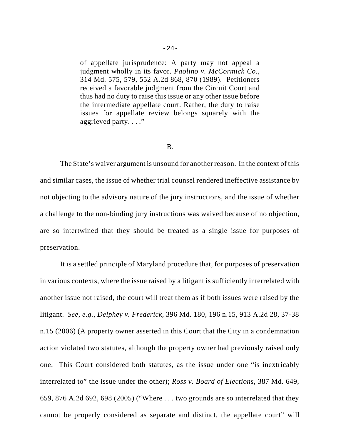of appellate jurisprudence: A party may not appeal a judgment wholly in its favor. *Paolino v. McCormick Co.,* 314 Md. 575, 579, 552 A.2d 868, 870 (1989). Petitioners received a favorable judgment from the Circuit Court and thus had no duty to raise this issue or any other issue before the intermediate appellate court. Rather, the duty to raise issues for appellate review belongs squarely with the aggrieved party. . . ."

#### B.

The State's waiver argument is unsound for another reason. In the context of this and similar cases, the issue of whether trial counsel rendered ineffective assistance by not objecting to the advisory nature of the jury instructions, and the issue of whether a challenge to the non-binding jury instructions was waived because of no objection, are so intertwined that they should be treated as a single issue for purposes of preservation.

It is a settled principle of Maryland procedure that, for purposes of preservation in various contexts, where the issue raised by a litigant is sufficiently interrelated with another issue not raised, the court will treat them as if both issues were raised by the litigant. *See, e.g., Delphey v. Frederick,* 396 Md. 180, 196 n.15, 913 A.2d 28, 37-38 n.15 (2006) (A property owner asserted in this Court that the City in a condemnation action violated two statutes, although the property owner had previously raised only one. This Court considered both statutes, as the issue under one "is inextricably interrelated to" the issue under the other); *Ross v. Board of Elections*, 387 Md. 649, 659, 876 A.2d 692, 698 (2005) ("Where . . . two grounds are so interrelated that they cannot be properly considered as separate and distinct, the appellate court" will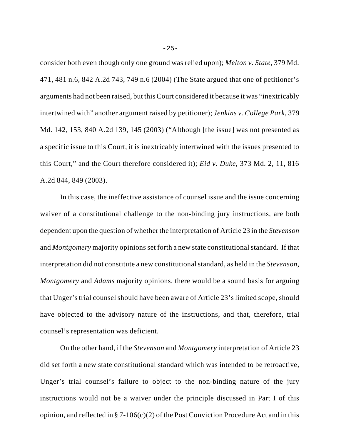consider both even though only one ground was relied upon); *Melton v. State*, 379 Md. 471, 481 n.6, 842 A.2d 743, 749 n.6 (2004) (The State argued that one of petitioner's arguments had not been raised, but this Court considered it because it was "inextricably intertwined with" another argument raised by petitioner); *Jenkins v. College Park*, 379 Md. 142, 153, 840 A.2d 139, 145 (2003) ("Although [the issue] was not presented as a specific issue to this Court, it is inextricably intertwined with the issues presented to this Court," and the Court therefore considered it); *Eid v. Duke*, 373 Md. 2, 11, 816 A.2d 844, 849 (2003).

In this case, the ineffective assistance of counsel issue and the issue concerning waiver of a constitutional challenge to the non-binding jury instructions, are both dependent upon the question of whether the interpretation of Article 23 in the *Stevenson* and *Montgomery* majority opinions set forth a new state constitutional standard. If that interpretation did not constitute a new constitutional standard, as held in the *Stevenson*, *Montgomery* and *Adams* majority opinions, there would be a sound basis for arguing that Unger's trial counsel should have been aware of Article 23's limited scope, should have objected to the advisory nature of the instructions, and that, therefore, trial counsel's representation was deficient.

On the other hand, if the *Stevenson* and *Montgomery* interpretation of Article 23 did set forth a new state constitutional standard which was intended to be retroactive, Unger's trial counsel's failure to object to the non-binding nature of the jury instructions would not be a waiver under the principle discussed in Part I of this opinion, and reflected in § 7-106(c)(2) of the Post Conviction Procedure Act and in this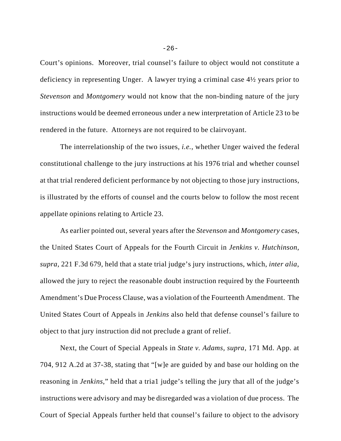Court's opinions. Moreover, trial counsel's failure to object would not constitute a deficiency in representing Unger. A lawyer trying a criminal case 4½ years prior to *Stevenson* and *Montgomery* would not know that the non-binding nature of the jury instructions would be deemed erroneous under a new interpretation of Article 23 to be rendered in the future. Attorneys are not required to be clairvoyant.

The interrelationship of the two issues, *i.e.*, whether Unger waived the federal constitutional challenge to the jury instructions at his 1976 trial and whether counsel at that trial rendered deficient performance by not objecting to those jury instructions, is illustrated by the efforts of counsel and the courts below to follow the most recent appellate opinions relating to Article 23.

As earlier pointed out, several years after the *Stevenson* and *Montgomery* cases, the United States Court of Appeals for the Fourth Circuit in *Jenkins v. Hutchinson, supra*, 221 F.3d 679, held that a state trial judge's jury instructions, which, *inter alia*, allowed the jury to reject the reasonable doubt instruction required by the Fourteenth Amendment's Due Process Clause, was a violation of the Fourteenth Amendment. The United States Court of Appeals in *Jenkins* also held that defense counsel's failure to object to that jury instruction did not preclude a grant of relief.

Next, the Court of Special Appeals in *State v. Adams, supra*, 171 Md. App. at 704, 912 A.2d at 37-38, stating that "[w]e are guided by and base our holding on the reasoning in *Jenkins*," held that a tria1 judge's telling the jury that all of the judge's instructions were advisory and may be disregarded was a violation of due process. The Court of Special Appeals further held that counsel's failure to object to the advisory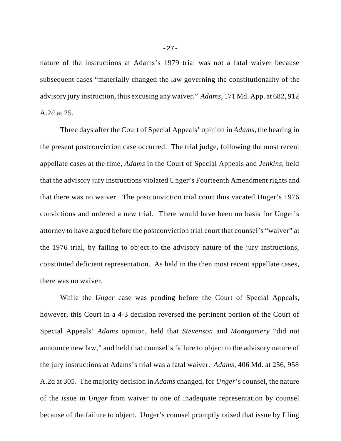nature of the instructions at Adams's 1979 trial was not a fatal waiver because subsequent cases "materially changed the law governing the constitutionality of the advisory jury instruction, thus excusing any waiver." *Adams*, 171 Md. App. at 682, 912 A.2d at 25.

Three days after the Court of Special Appeals' opinion in *Adams*, the hearing in the present postconviction case occurred. The trial judge, following the most recent appellate cases at the time, *Adams* in the Court of Special Appeals and *Jenkins*, held that the advisory jury instructions violated Unger's Fourteenth Amendment rights and that there was no waiver. The postconviction trial court thus vacated Unger's 1976 convictions and ordered a new trial. There would have been no basis for Unger's attorney to have argued before the postconviction trial court that counsel's "waiver" at the 1976 trial, by failing to object to the advisory nature of the jury instructions, constituted deficient representation. As held in the then most recent appellate cases, there was no waiver.

While the *Unger* case was pending before the Court of Special Appeals, however, this Court in a 4-3 decision reversed the pertinent portion of the Court of Special Appeals' *Adams* opinion, held that *Stevenson* and *Montgomery* "did not announce new law," and held that counsel's failure to object to the advisory nature of the jury instructions at Adams's trial was a fatal waiver. *Adams*, 406 Md. at 256, 958 A.2d at 305. The majority decision in *Adams* changed, for *Unger*'s counsel, the nature of the issue in *Unger* from waiver to one of inadequate representation by counsel because of the failure to object. Unger's counsel promptly raised that issue by filing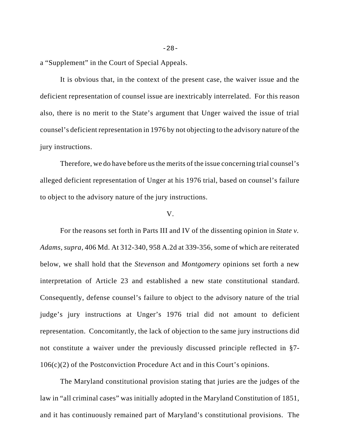a "Supplement" in the Court of Special Appeals.

It is obvious that, in the context of the present case, the waiver issue and the deficient representation of counsel issue are inextricably interrelated. For this reason also, there is no merit to the State's argument that Unger waived the issue of trial counsel's deficient representation in 1976 by not objecting to the advisory nature of the jury instructions.

Therefore, we do have before us the merits of the issue concerning trial counsel's alleged deficient representation of Unger at his 1976 trial, based on counsel's failure to object to the advisory nature of the jury instructions.

#### V.

For the reasons set forth in Parts III and IV of the dissenting opinion in *State v. Adams, supra*, 406 Md. At 312-340, 958 A.2d at 339-356, some of which are reiterated below, we shall hold that the *Stevenson* and *Montgomery* opinions set forth a new interpretation of Article 23 and established a new state constitutional standard. Consequently, defense counsel's failure to object to the advisory nature of the trial judge's jury instructions at Unger's 1976 trial did not amount to deficient representation. Concomitantly, the lack of objection to the same jury instructions did not constitute a waiver under the previously discussed principle reflected in §7- 106(c)(2) of the Postconviction Procedure Act and in this Court's opinions.

The Maryland constitutional provision stating that juries are the judges of the law in "all criminal cases" was initially adopted in the Maryland Constitution of 1851, and it has continuously remained part of Maryland's constitutional provisions. The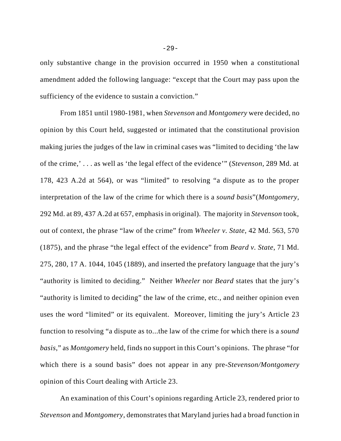only substantive change in the provision occurred in 1950 when a constitutional amendment added the following language: "except that the Court may pass upon the sufficiency of the evidence to sustain a conviction."

From 1851 until 1980-1981, when *Stevenson* and *Montgomery* were decided, no opinion by this Court held, suggested or intimated that the constitutional provision making juries the judges of the law in criminal cases was "limited to deciding 'the law of the crime,' . . . as well as 'the legal effect of the evidence'" (*Stevenson,* 289 Md. at 178, 423 A.2d at 564), or was "limited" to resolving "a dispute as to the proper interpretation of the law of the crime for which there is a *sound basis*"(*Montgomery,* 292 Md. at 89, 437 A.2d at 657, emphasis in original). The majority in *Stevenson* took, out of context, the phrase "law of the crime" from *Wheeler v. State*, 42 Md. 563, 570 (1875), and the phrase "the legal effect of the evidence" from *Beard v. State*, 71 Md. 275, 280, 17 A. 1044, 1045 (1889), and inserted the prefatory language that the jury's "authority is limited to deciding." Neither *Wheeler* nor *Beard* states that the jury's "authority is limited to deciding" the law of the crime, etc., and neither opinion even uses the word "limited" or its equivalent. Moreover, limiting the jury's Article 23 function to resolving "a dispute as to...the law of the crime for which there is a *sound basis*," as *Montgomery* held, finds no support in this Court's opinions. The phrase "for which there is a sound basis" does not appear in any pre-*Stevenson/Montgomery* opinion of this Court dealing with Article 23.

An examination of this Court's opinions regarding Article 23, rendered prior to *Stevenson* and *Montgomery*, demonstrates that Maryland juries had a broad function in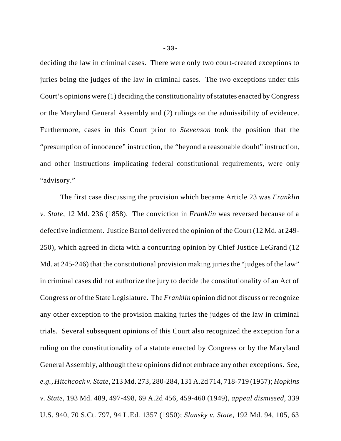deciding the law in criminal cases. There were only two court-created exceptions to juries being the judges of the law in criminal cases. The two exceptions under this Court's opinions were (1) deciding the constitutionality of statutes enacted by Congress or the Maryland General Assembly and (2) rulings on the admissibility of evidence. Furthermore, cases in this Court prior to *Stevenson* took the position that the "presumption of innocence" instruction, the "beyond a reasonable doubt" instruction, and other instructions implicating federal constitutional requirements, were only "advisory."

The first case discussing the provision which became Article 23 was *Franklin v. State*, 12 Md. 236 (1858). The conviction in *Franklin* was reversed because of a defective indictment. Justice Bartol delivered the opinion of the Court (12 Md. at 249- 250), which agreed in dicta with a concurring opinion by Chief Justice LeGrand (12 Md. at 245-246) that the constitutional provision making juries the "judges of the law" in criminal cases did not authorize the jury to decide the constitutionality of an Act of Congress or of the State Legislature. The *Franklin* opinion did not discuss or recognize any other exception to the provision making juries the judges of the law in criminal trials. Several subsequent opinions of this Court also recognized the exception for a ruling on the constitutionality of a statute enacted by Congress or by the Maryland General Assembly, although these opinions did not embrace any other exceptions. *See, e.g., Hitchcock v. State,* 213 Md. 273, 280-284, 131 A.2d 714, 718-719 (1957); *Hopkins v. State,* 193 Md. 489, 497-498, 69 A.2d 456, 459-460 (1949), *appeal dismissed,* 339 U.S. 940, 70 S.Ct. 797, 94 L.Ed. 1357 (1950); *Slansky v. State,* 192 Md. 94, 105, 63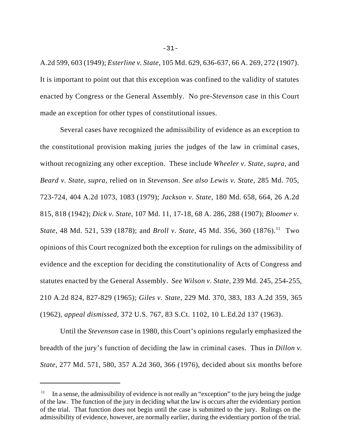A.2d 599, 603 (1949); *Esterline v. State,* 105 Md. 629, 636-637, 66 A. 269, 272 (1907). It is important to point out that this exception was confined to the validity of statutes enacted by Congress or the General Assembly. No pre-*Stevenson* case in this Court made an exception for other types of constitutional issues.

Several cases have recognized the admissibility of evidence as an exception to the constitutional provision making juries the judges of the law in criminal cases, without recognizing any other exception. These include *Wheeler v. State, supra,* and *Beard v. State, supra,* relied on in *Stevenson*. *See also Lewis v. State*, 285 Md. 705, 723-724, 404 A.2d 1073, 1083 (1979); *Jackson v. State*, 180 Md. 658, 664, 26 A.2d 815, 818 (1942); *Dick v. State*, 107 Md. 11, 17-18, 68 A. 286, 288 (1907); *Bloomer v. State*, 48 Md. 521, 539 (1878); and *Broll v. State*, 45 Md. 356, 360 (1876).<sup>11</sup> Two opinions of this Court recognized both the exception for rulings on the admissibility of evidence and the exception for deciding the constitutionality of Acts of Congress and statutes enacted by the General Assembly. *See Wilson v. State*, 239 Md. 245, 254-255, 210 A.2d 824, 827-829 (1965); *Giles v. State,* 229 Md. 370, 383, 183 A.2d 359, 365 (1962), *appeal dismissed,* 372 U.S. 767, 83 S.Ct. 1102, 10 L.Ed.2d 137 (1963).

Until the *Stevenson* case in 1980, this Court's opinions regularly emphasized the breadth of the jury's function of deciding the law in criminal cases. Thus in *Dillon v. State*, 277 Md. 571, 580, 357 A.2d 360, 366 (1976), decided about six months before

-31-

 $11$  In a sense, the admissibility of evidence is not really an "exception" to the jury being the judge of the law. The function of the jury in deciding what the law is occurs after the evidentiary portion of the trial. That function does not begin until the case is submitted to the jury. Rulings on the admissibility of evidence, however, are normally earlier, during the evidentiary portion of the trial.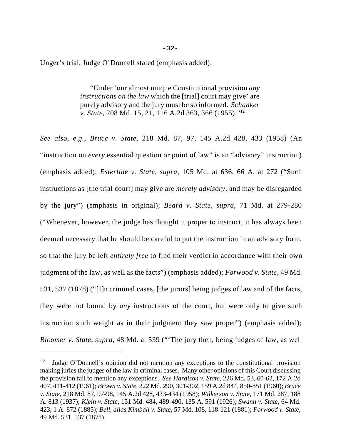Unger's trial, Judge O'Donnell stated (emphasis added):

"Under 'our almost unique Constitutional provision *any instructions on the law* which the [trial] court may give' are purely advisory and the jury must be so informed. *Schanker v. State*, 208 Md. 15, 21, 116 A.2d 363, 366 (1955)."12

*See also, e.g., Bruce v. State*, 218 Md. 87, 97, 145 A.2d 428, 433 (1958) (An "instruction on *every* essential question or point of law" is an "advisory" instruction) (emphasis added); *Esterline v. State, supra*, 105 Md. at 636, 66 A. at 272 ("Such instructions as [the trial court] may give are *merely advisory*, and may be disregarded by the jury") (emphasis in original); *Beard v. State, supra*, 71 Md. at 279-280 ("Whenever, however, the judge has thought it proper to instruct, it has always been deemed necessary that he should be careful to put the instruction in an advisory form, so that the jury be left *entirely free* to find their verdict in accordance with their own judgment of the law, as well as the facts") (emphasis added); *Forwood v. State*, 49 Md. 531, 537 (1878) ("[I]n criminal cases, [the jurors] being judges of law and of the facts, they were not bound by *any* instructions of the court, but were only to give such instruction such weight as in their judgment they saw proper") (emphasis added); *Bloomer v. State, supra*, 48 Md. at 539 ("'The jury then, being judges of law, as well

<sup>12</sup> Judge O'Donnell's opinion did not mention any exceptions to the constitutional provision making juries the judges of the law in criminal cases. Many other opinions of this Court discussing the provision fail to mention any exceptions. *See Hardison v. State*, 226 Md. 53, 60-62, 172 A.2d 407, 411-412 (1961); *Brown v. State*, 222 Md. 290, 301-302, 159 A.2d 844, 850-851 (1960); *Bruce v. State*, 218 Md. 87, 97-98, 145 A.2d 428, 433-434 (1958); *Wilkerson v. State*, 171 Md. 287, 188 A. 813 (1937); *Klein v. State*, 151 Md. 484, 489-490, 135 A. 591 (1926); *Swann v. State*, 64 Md. 423, 1 A. 872 (1885); *Bell, alias Kimball v. State*, 57 Md. 108, 118-121 (1881); *Forwood v. State*, 49 Md. 531, 537 (1878).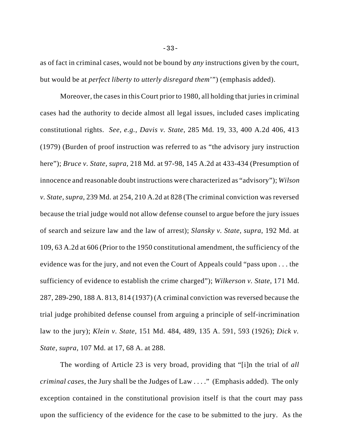as of fact in criminal cases, would not be bound by *any* instructions given by the court, but would be at *perfect liberty to utterly disregard them*'") (emphasis added).

Moreover, the cases in this Court prior to 1980, all holding that juries in criminal cases had the authority to decide almost all legal issues, included cases implicating constitutional rights. *See, e.g., Davis v. State*, 285 Md. 19, 33, 400 A.2d 406, 413 (1979) (Burden of proof instruction was referred to as "the advisory jury instruction here"); *Bruce v. State, supra*, 218 Md. at 97-98, 145 A.2d at 433-434 (Presumption of innocence and reasonable doubt instructions were characterized as "advisory"); *Wilson v. State, supra,* 239 Md. at 254, 210 A.2d at 828 (The criminal conviction was reversed because the trial judge would not allow defense counsel to argue before the jury issues of search and seizure law and the law of arrest); *Slansky v. State, supra*, 192 Md. at 109, 63 A.2d at 606 (Prior to the 1950 constitutional amendment, the sufficiency of the evidence was for the jury, and not even the Court of Appeals could "pass upon . . . the sufficiency of evidence to establish the crime charged"); *Wilkerson v. State*, 171 Md. 287, 289-290, 188 A. 813, 814 (1937) (A criminal conviction was reversed because the trial judge prohibited defense counsel from arguing a principle of self-incrimination law to the jury); *Klein v. State,* 151 Md. 484, 489, 135 A. 591, 593 (1926); *Dick v. State, supra,* 107 Md. at 17, 68 A. at 288.

The wording of Article 23 is very broad, providing that "[i]n the trial of *all criminal cases,* the Jury shall be the Judges of Law . . . ." (Emphasis added). The only exception contained in the constitutional provision itself is that the court may pass upon the sufficiency of the evidence for the case to be submitted to the jury. As the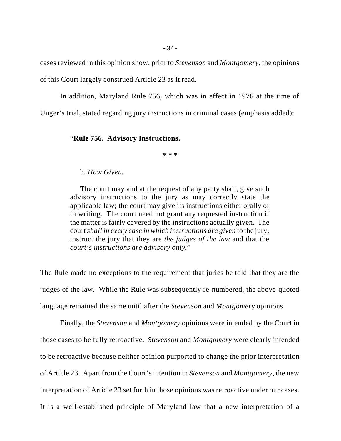cases reviewed in this opinion show, prior to *Stevenson* and *Montgomery*, the opinions of this Court largely construed Article 23 as it read.

In addition, Maryland Rule 756, which was in effect in 1976 at the time of Unger's trial, stated regarding jury instructions in criminal cases (emphasis added):

### "**Rule 756. Advisory Instructions.**

\* \* \*

## b. *How Given.*

The court may and at the request of any party shall, give such advisory instructions to the jury as may correctly state the applicable law; the court may give its instructions either orally or in writing. The court need not grant any requested instruction if the matter is fairly covered by the instructions actually given. The court *shall in every case in which instructions are given* to the jury, instruct the jury that they are *the judges of the law* and that the *court's instructions are advisory only.*"

The Rule made no exceptions to the requirement that juries be told that they are the judges of the law. While the Rule was subsequently re-numbered, the above-quoted language remained the same until after the *Stevenson* and *Montgomery* opinions.

Finally, the *Stevenson* and *Montgomery* opinions were intended by the Court in those cases to be fully retroactive. *Stevenson* and *Montgomery* were clearly intended to be retroactive because neither opinion purported to change the prior interpretation of Article 23. Apart from the Court's intention in *Stevenson* and *Montgomery*, the new interpretation of Article 23 set forth in those opinions was retroactive under our cases. It is a well-established principle of Maryland law that a new interpretation of a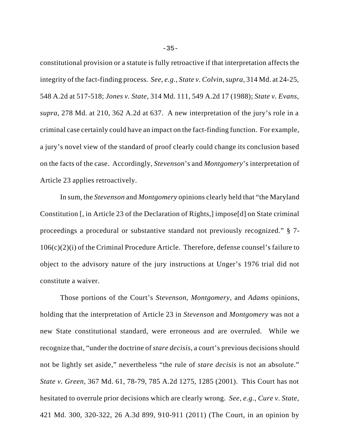constitutional provision or a statute is fully retroactive if that interpretation affects the integrity of the fact-finding process. *See, e.g., State v. Colvin*, *supra*, 314 Md. at 24-25, 548 A.2d at 517-518; *Jones v. State*, 314 Md. 111, 549 A.2d 17 (1988); *State v. Evans, supra*, 278 Md. at 210, 362 A.2d at 637. A new interpretation of the jury's role in a criminal case certainly could have an impact on the fact-finding function. For example, a jury's novel view of the standard of proof clearly could change its conclusion based on the facts of the case. Accordingly, *Stevenson*'s and *Montgomery*'s interpretation of Article 23 applies retroactively.

In sum, the *Stevenson* and *Montgomery* opinions clearly held that "the Maryland Constitution [, in Article 23 of the Declaration of Rights,] impose[d] on State criminal proceedings a procedural or substantive standard not previously recognized." § 7- 106(c)(2)(i) of the Criminal Procedure Article. Therefore, defense counsel's failure to object to the advisory nature of the jury instructions at Unger's 1976 trial did not constitute a waiver.

Those portions of the Court's *Stevenson*, *Montgomery*, and *Adams* opinions, holding that the interpretation of Article 23 in *Stevenson* and *Montgomery* was not a new State constitutional standard, were erroneous and are overruled. While we recognize that, "under the doctrine of *stare decisis*, a court's previous decisions should not be lightly set aside," nevertheless "the rule of *stare decisis* is not an absolute." *State v. Green*, 367 Md. 61, 78-79, 785 A.2d 1275, 1285 (2001). This Court has not hesitated to overrule prior decisions which are clearly wrong. *See, e.g., Cure v. State*, 421 Md. 300, 320-322, 26 A.3d 899, 910-911 (2011) (The Court, in an opinion by

-35-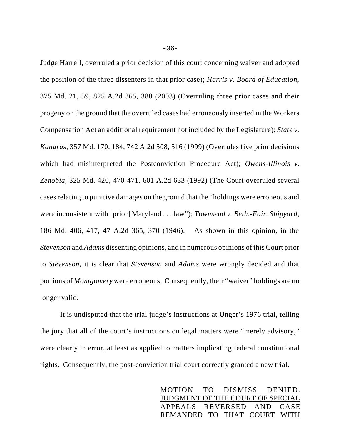Judge Harrell, overruled a prior decision of this court concerning waiver and adopted the position of the three dissenters in that prior case); *Harris v. Board of Education*, 375 Md. 21, 59, 825 A.2d 365, 388 (2003) (Overruling three prior cases and their progeny on the ground that the overruled cases had erroneously inserted in the Workers Compensation Act an additional requirement not included by the Legislature); *State v. Kanaras*, 357 Md. 170, 184, 742 A.2d 508, 516 (1999) (Overrules five prior decisions which had misinterpreted the Postconviction Procedure Act); *Owens-Illinois v. Zenobia*, 325 Md. 420, 470-471, 601 A.2d 633 (1992) (The Court overruled several cases relating to punitive damages on the ground that the "holdings were erroneous and were inconsistent with [prior] Maryland . . . law"); *Townsend v. Beth.-Fair. Shipyard*, 186 Md. 406, 417, 47 A.2d 365, 370 (1946). As shown in this opinion, in the *Stevenson* and *Adams* dissenting opinions, and in numerous opinions of this Court prior to *Stevenson*, it is clear that *Stevenson* and *Adams* were wrongly decided and that portions of *Montgomery* were erroneous. Consequently, their "waiver" holdings are no longer valid.

It is undisputed that the trial judge's instructions at Unger's 1976 trial, telling the jury that all of the court's instructions on legal matters were "merely advisory," were clearly in error, at least as applied to matters implicating federal constitutional rights. Consequently, the post-conviction trial court correctly granted a new trial.

> MOTION TO DISMISS DENIED. JUDGMENT OF THE COURT OF SPECIAL APPEALS REVERSED AND CASE REMANDED TO THAT COURT WITH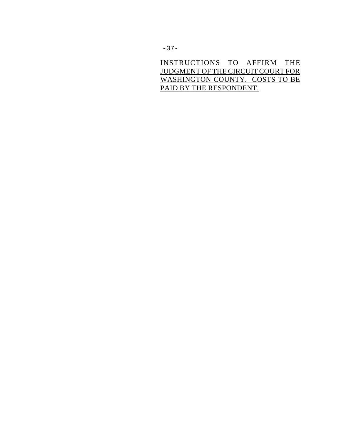INSTRUCTIONS TO AFFIRM THE JUDGMENT OF THE CIRCUIT COURT FOR WASHINGTON COUNTY. COSTS TO BE PAID BY THE RESPONDENT.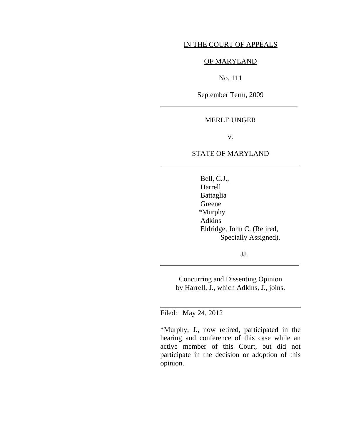## IN THE COURT OF APPEALS

## OF MARYLAND

# No. 111

September Term, 2009

 $\overline{a}$ 

 $\overline{a}$ 

 $\overline{a}$ 

 $\overline{\phantom{a}}$ 

## MERLE UNGER

v.

## STATE OF MARYLAND

 Bell, C.J., Harrell Battaglia Greene \*Murphy Adkins Eldridge, John C. (Retired, Specially Assigned),

JJ.

Concurring and Dissenting Opinion by Harrell, J., which Adkins, J., joins.

Filed: May 24, 2012

\*Murphy, J., now retired, participated in the hearing and conference of this case while an active member of this Court, but did not participate in the decision or adoption of this opinion.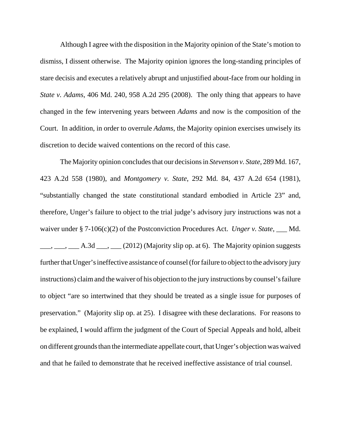Although I agree with the disposition in the Majority opinion of the State's motion to dismiss, I dissent otherwise. The Majority opinion ignores the long-standing principles of stare decisis and executes a relatively abrupt and unjustified about-face from our holding in *State v. Adams*, 406 Md. 240, 958 A.2d 295 (2008). The only thing that appears to have changed in the few intervening years between *Adams* and now is the composition of the Court. In addition, in order to overrule *Adams*, the Majority opinion exercises unwisely its discretion to decide waived contentions on the record of this case.

The Majority opinion concludes that our decisions in *Stevenson v. State*, 289 Md. 167, 423 A.2d 558 (1980), and *Montgomery v. State*, 292 Md. 84, 437 A.2d 654 (1981), "substantially changed the state constitutional standard embodied in Article 23" and, therefore, Unger's failure to object to the trial judge's advisory jury instructions was not a waiver under § 7-106(c)(2) of the Postconviction Procedures Act. *Unger v. State*, \_\_\_ Md.  $\underline{\hspace{1cm}}$ ,  $\underline{\hspace{1cm}}$ ,  $\underline{\hspace{1cm}}$  A.3d  $\underline{\hspace{1cm}}$ ,  $\underline{\hspace{1cm}}$  (2012) (Majority slip op. at 6). The Majority opinion suggests further that Unger's ineffective assistance of counsel (for failure to object to the advisory jury instructions) claim and the waiver of his objection to the jury instructions by counsel's failure to object "are so intertwined that they should be treated as a single issue for purposes of preservation." (Majority slip op. at 25). I disagree with these declarations. For reasons to be explained, I would affirm the judgment of the Court of Special Appeals and hold, albeit on different grounds than the intermediate appellate court, that Unger's objection was waived and that he failed to demonstrate that he received ineffective assistance of trial counsel.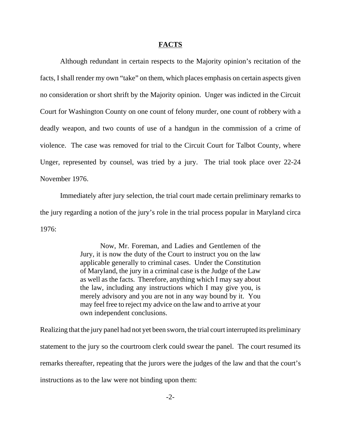#### **FACTS**

Although redundant in certain respects to the Majority opinion's recitation of the facts, I shall render my own "take" on them, which places emphasis on certain aspects given no consideration or short shrift by the Majority opinion. Unger was indicted in the Circuit Court for Washington County on one count of felony murder, one count of robbery with a deadly weapon, and two counts of use of a handgun in the commission of a crime of violence. The case was removed for trial to the Circuit Court for Talbot County, where Unger, represented by counsel, was tried by a jury. The trial took place over 22-24 November 1976.

Immediately after jury selection, the trial court made certain preliminary remarks to the jury regarding a notion of the jury's role in the trial process popular in Maryland circa 1976:

> Now, Mr. Foreman, and Ladies and Gentlemen of the Jury, it is now the duty of the Court to instruct you on the law applicable generally to criminal cases. Under the Constitution of Maryland, the jury in a criminal case is the Judge of the Law as well as the facts. Therefore, anything which I may say about the law, including any instructions which I may give you, is merely advisory and you are not in any way bound by it. You may feel free to reject my advice on the law and to arrive at your own independent conclusions.

Realizing that the jury panel had not yet been sworn, the trial court interrupted its preliminary statement to the jury so the courtroom clerk could swear the panel. The court resumed its remarks thereafter, repeating that the jurors were the judges of the law and that the court's instructions as to the law were not binding upon them: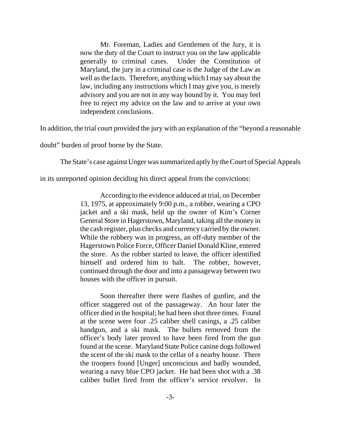Mr. Foreman, Ladies and Gentlemen of the Jury, it is now the duty of the Court to instruct you on the law applicable generally to criminal cases. Under the Constitution of Maryland, the jury in a criminal case is the Judge of the Law as well as the facts. Therefore, anything which I may say about the law, including any instructions which I may give you, is merely advisory and you are not in any way bound by it. You may feel free to reject my advice on the law and to arrive at your own independent conclusions.

In addition, the trial court provided the jury with an explanation of the "beyond a reasonable

doubt" burden of proof borne by the State.

The State's case against Unger was summarized aptly by the Court of Special Appeals

in its unreported opinion deciding his direct appeal from the convictions:

According to the evidence adduced at trial, on December 13, 1975, at approximately 9:00 p.m., a robber, wearing a CPO jacket and a ski mask, held up the owner of Kim's Corner General Store in Hagerstown, Maryland, taking all the money in the cash register, plus checks and currency carried by the owner. While the robbery was in progress, an off-duty member of the Hagerstown Police Force, Officer Daniel Donald Kline, entered the store. As the robber started to leave, the officer identified himself and ordered him to halt. The robber, however, continued through the door and into a passageway between two houses with the officer in pursuit.

Soon thereafter there were flashes of gunfire, and the officer staggered out of the passageway. An hour later the officer died in the hospital; he had been shot three times. Found at the scene were four .25 caliber shell casings, a .25 caliber handgun, and a ski mask. The bullets removed from the officer's body later proved to have been fired from the gun found at the scene. Maryland State Police canine dogs followed the scent of the ski mask to the cellar of a nearby house. There the troopers found [Unger] unconscious and badly wounded, wearing a navy blue CPO jacket. He had been shot with a .38 caliber bullet fired from the officer's service revolver. In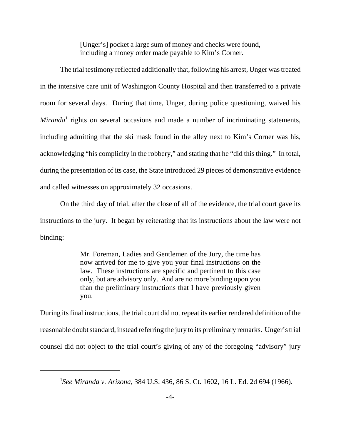[Unger's] pocket a large sum of money and checks were found, including a money order made payable to Kim's Corner.

The trial testimony reflected additionally that, following his arrest, Unger was treated in the intensive care unit of Washington County Hospital and then transferred to a private room for several days. During that time, Unger, during police questioning, waived his *Miranda*<sup>1</sup> rights on several occasions and made a number of incriminating statements, including admitting that the ski mask found in the alley next to Kim's Corner was his, acknowledging "his complicity in the robbery," and stating that he "did this thing." In total, during the presentation of its case, the State introduced 29 pieces of demonstrative evidence and called witnesses on approximately 32 occasions.

On the third day of trial, after the close of all of the evidence, the trial court gave its instructions to the jury. It began by reiterating that its instructions about the law were not binding:

> Mr. Foreman, Ladies and Gentlemen of the Jury, the time has now arrived for me to give you your final instructions on the law. These instructions are specific and pertinent to this case only, but are advisory only. And are no more binding upon you than the preliminary instructions that I have previously given you.

During its final instructions, the trial court did not repeat its earlier rendered definition of the reasonable doubt standard, instead referring the jury to its preliminary remarks. Unger's trial counsel did not object to the trial court's giving of any of the foregoing "advisory" jury

<sup>1</sup> *See Miranda v. Arizona*, 384 U.S. 436, 86 S. Ct. 1602, 16 L. Ed. 2d 694 (1966).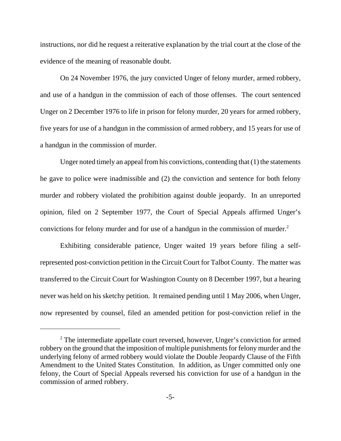instructions, nor did he request a reiterative explanation by the trial court at the close of the evidence of the meaning of reasonable doubt.

On 24 November 1976, the jury convicted Unger of felony murder, armed robbery, and use of a handgun in the commission of each of those offenses. The court sentenced Unger on 2 December 1976 to life in prison for felony murder, 20 years for armed robbery, five years for use of a handgun in the commission of armed robbery, and 15 years for use of a handgun in the commission of murder.

Unger noted timely an appeal from his convictions, contending that (1) the statements he gave to police were inadmissible and (2) the conviction and sentence for both felony murder and robbery violated the prohibition against double jeopardy. In an unreported opinion, filed on 2 September 1977, the Court of Special Appeals affirmed Unger's convictions for felony murder and for use of a handgun in the commission of murder.<sup>2</sup>

Exhibiting considerable patience, Unger waited 19 years before filing a selfrepresented post-conviction petition in the Circuit Court for Talbot County. The matter was transferred to the Circuit Court for Washington County on 8 December 1997, but a hearing never was held on his sketchy petition. It remained pending until 1 May 2006, when Unger, now represented by counsel, filed an amended petition for post-conviction relief in the

<sup>&</sup>lt;sup>2</sup> The intermediate appellate court reversed, however, Unger's conviction for armed robbery on the ground that the imposition of multiple punishments for felony murder and the underlying felony of armed robbery would violate the Double Jeopardy Clause of the Fifth Amendment to the United States Constitution. In addition, as Unger committed only one felony, the Court of Special Appeals reversed his conviction for use of a handgun in the commission of armed robbery.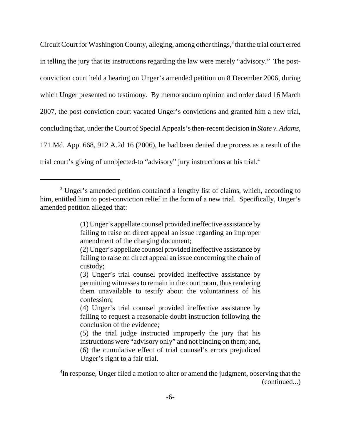Circuit Court for Washington County, alleging, among other things,<sup>3</sup> that the trial court erred in telling the jury that its instructions regarding the law were merely "advisory." The postconviction court held a hearing on Unger's amended petition on 8 December 2006, during which Unger presented no testimony. By memorandum opinion and order dated 16 March 2007, the post-conviction court vacated Unger's convictions and granted him a new trial, concluding that, under the Court of Special Appeals's then-recent decision in *State v. Adams*, 171 Md. App. 668, 912 A.2d 16 (2006), he had been denied due process as a result of the trial court's giving of unobjected-to "advisory" jury instructions at his trial.4

<sup>&</sup>lt;sup>3</sup> Unger's amended petition contained a lengthy list of claims, which, according to him, entitled him to post-conviction relief in the form of a new trial. Specifically, Unger's amended petition alleged that:

<sup>(1)</sup> Unger's appellate counsel provided ineffective assistance by failing to raise on direct appeal an issue regarding an improper amendment of the charging document;

<sup>(2)</sup> Unger's appellate counsel provided ineffective assistance by failing to raise on direct appeal an issue concerning the chain of custody;

<sup>(3)</sup> Unger's trial counsel provided ineffective assistance by permitting witnesses to remain in the courtroom, thus rendering them unavailable to testify about the voluntariness of his confession;

<sup>(4)</sup> Unger's trial counsel provided ineffective assistance by failing to request a reasonable doubt instruction following the conclusion of the evidence;

<sup>(5)</sup> the trial judge instructed improperly the jury that his instructions were "advisory only" and not binding on them; and, (6) the cumulative effect of trial counsel's errors prejudiced Unger's right to a fair trial.

<sup>&</sup>lt;sup>4</sup>In response, Unger filed a motion to alter or amend the judgment, observing that the (continued...)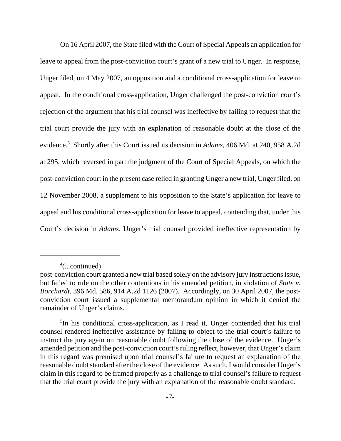On 16 April 2007, the State filed with the Court of Special Appeals an application for leave to appeal from the post-conviction court's grant of a new trial to Unger. In response, Unger filed, on 4 May 2007, an opposition and a conditional cross-application for leave to appeal. In the conditional cross-application, Unger challenged the post-conviction court's rejection of the argument that his trial counsel was ineffective by failing to request that the trial court provide the jury with an explanation of reasonable doubt at the close of the evidence.5 Shortly after this Court issued its decision in *Adams*, 406 Md. at 240, 958 A.2d at 295, which reversed in part the judgment of the Court of Special Appeals, on which the post-conviction court in the present case relied in granting Unger a new trial, Unger filed, on 12 November 2008, a supplement to his opposition to the State's application for leave to appeal and his conditional cross-application for leave to appeal, contending that, under this Court's decision in *Adams*, Unger's trial counsel provided ineffective representation by

<sup>4</sup> (...continued)

post-conviction court granted a new trial based solely on the advisory jury instructions issue, but failed to rule on the other contentions in his amended petition, in violation of *State v. Borchardt*, 396 Md. 586, 914 A.2d 1126 (2007). Accordingly, on 30 April 2007, the postconviction court issued a supplemental memorandum opinion in which it denied the remainder of Unger's claims.

<sup>&</sup>lt;sup>5</sup>In his conditional cross-application, as I read it, Unger contended that his trial counsel rendered ineffective assistance by failing to object to the trial court's failure to instruct the jury again on reasonable doubt following the close of the evidence. Unger's amended petition and the post-conviction court's ruling reflect, however, that Unger's claim in this regard was premised upon trial counsel's failure to request an explanation of the reasonable doubt standard after the close of the evidence. As such, I would consider Unger's claim in this regard to be framed properly as a challenge to trial counsel's failure to request that the trial court provide the jury with an explanation of the reasonable doubt standard.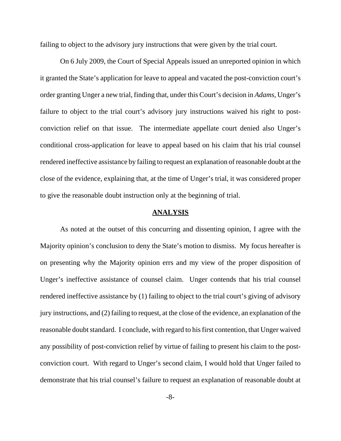failing to object to the advisory jury instructions that were given by the trial court.

On 6 July 2009, the Court of Special Appeals issued an unreported opinion in which it granted the State's application for leave to appeal and vacated the post-conviction court's order granting Unger a new trial, finding that, under this Court's decision in *Adams*, Unger's failure to object to the trial court's advisory jury instructions waived his right to postconviction relief on that issue. The intermediate appellate court denied also Unger's conditional cross-application for leave to appeal based on his claim that his trial counsel rendered ineffective assistance by failing to request an explanation of reasonable doubt at the close of the evidence, explaining that, at the time of Unger's trial, it was considered proper to give the reasonable doubt instruction only at the beginning of trial.

## **ANALYSIS**

As noted at the outset of this concurring and dissenting opinion, I agree with the Majority opinion's conclusion to deny the State's motion to dismiss. My focus hereafter is on presenting why the Majority opinion errs and my view of the proper disposition of Unger's ineffective assistance of counsel claim. Unger contends that his trial counsel rendered ineffective assistance by (1) failing to object to the trial court's giving of advisory jury instructions, and (2) failing to request, at the close of the evidence, an explanation of the reasonable doubt standard. I conclude, with regard to his first contention, that Unger waived any possibility of post-conviction relief by virtue of failing to present his claim to the postconviction court. With regard to Unger's second claim, I would hold that Unger failed to demonstrate that his trial counsel's failure to request an explanation of reasonable doubt at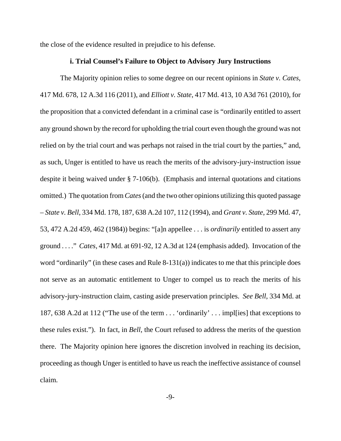the close of the evidence resulted in prejudice to his defense.

## **i. Trial Counsel's Failure to Object to Advisory Jury Instructions**

The Majority opinion relies to some degree on our recent opinions in *State v. Cates*, 417 Md. 678, 12 A.3d 116 (2011), and *Elliott v. State*, 417 Md. 413, 10 A3d 761 (2010), for the proposition that a convicted defendant in a criminal case is "ordinarily entitled to assert any ground shown by the record for upholding the trial court even though the ground was not relied on by the trial court and was perhaps not raised in the trial court by the parties," and, as such, Unger is entitled to have us reach the merits of the advisory-jury-instruction issue despite it being waived under § 7-106(b). (Emphasis and internal quotations and citations omitted.) The quotation from *Cates* (and the two other opinions utilizing this quoted passage – *State v. Bell*, 334 Md. 178, 187, 638 A.2d 107, 112 (1994), and *Grant v. State*, 299 Md. 47, 53, 472 A.2d 459, 462 (1984)) begins: "[a]n appellee . . . is *ordinarily* entitled to assert any ground . . . ." *Cates,* 417 Md. at 691-92, 12 A.3d at 124 (emphasis added). Invocation of the word "ordinarily" (in these cases and Rule 8-131(a)) indicates to me that this principle does not serve as an automatic entitlement to Unger to compel us to reach the merits of his advisory-jury-instruction claim, casting aside preservation principles. *See Bell*, 334 Md. at 187, 638 A.2d at 112 ("The use of the term . . . 'ordinarily' . . . impl[ies] that exceptions to these rules exist."). In fact, in *Bell*, the Court refused to address the merits of the question there. The Majority opinion here ignores the discretion involved in reaching its decision, proceeding as though Unger is entitled to have us reach the ineffective assistance of counsel claim.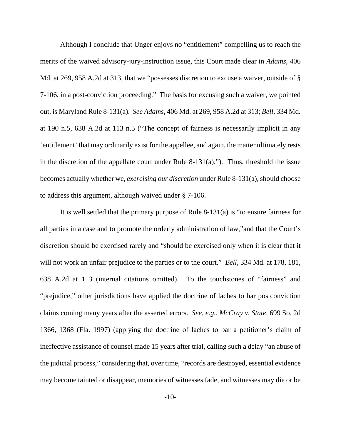Although I conclude that Unger enjoys no "entitlement" compelling us to reach the merits of the waived advisory-jury-instruction issue, this Court made clear in *Adams*, 406 Md. at 269, 958 A.2d at 313, that we "possesses discretion to excuse a waiver, outside of § 7-106, in a post-conviction proceeding." The basis for excusing such a waiver, we pointed out, is Maryland Rule 8-131(a). *See Adams*, 406 Md. at 269, 958 A.2d at 313; *Bell*, 334 Md. at 190 n.5, 638 A.2d at 113 n.5 ("The concept of fairness is necessarily implicit in any 'entitlement' that may ordinarily exist for the appellee, and again, the matter ultimately rests in the discretion of the appellate court under Rule 8-131(a)."). Thus, threshold the issue becomes actually whether we, *exercising our discretion* under Rule 8-131(a), should choose to address this argument, although waived under § 7-106.

It is well settled that the primary purpose of Rule 8-131(a) is "to ensure fairness for all parties in a case and to promote the orderly administration of law,"and that the Court's discretion should be exercised rarely and "should be exercised only when it is clear that it will not work an unfair prejudice to the parties or to the court." *Bell*, 334 Md. at 178, 181, 638 A.2d at 113 (internal citations omitted). To the touchstones of "fairness" and "prejudice," other jurisdictions have applied the doctrine of laches to bar postconviction claims coming many years after the asserted errors. *See, e.g.*, *McCray v. State*, 699 So. 2d 1366, 1368 (Fla. 1997) (applying the doctrine of laches to bar a petitioner's claim of ineffective assistance of counsel made 15 years after trial, calling such a delay "an abuse of the judicial process," considering that, over time, "records are destroyed, essential evidence may become tainted or disappear, memories of witnesses fade, and witnesses may die or be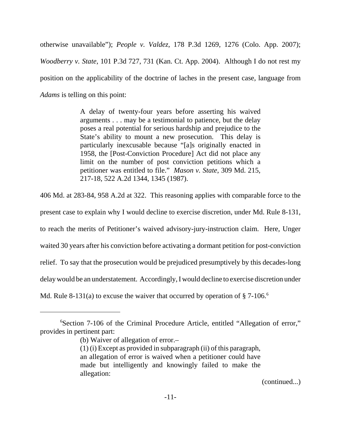otherwise unavailable"); *People v. Valdez*, 178 P.3d 1269, 1276 (Colo. App. 2007); *Woodberry v. State*, 101 P.3d 727, 731 (Kan. Ct. App. 2004). Although I do not rest my position on the applicability of the doctrine of laches in the present case, language from *Adams* is telling on this point:

> A delay of twenty-four years before asserting his waived arguments . . . may be a testimonial to patience, but the delay poses a real potential for serious hardship and prejudice to the State's ability to mount a new prosecution. This delay is particularly inexcusable because "[a]s originally enacted in 1958, the [Post-Conviction Procedure] Act did not place any limit on the number of post conviction petitions which a petitioner was entitled to file." *Mason v. State*, 309 Md. 215, 217-18, 522 A.2d 1344, 1345 (1987).

406 Md. at 283-84, 958 A.2d at 322. This reasoning applies with comparable force to the

present case to explain why I would decline to exercise discretion, under Md. Rule 8-131,

to reach the merits of Petitioner's waived advisory-jury-instruction claim. Here, Unger

waited 30 years after his conviction before activating a dormant petition for post-conviction

relief. To say that the prosecution would be prejudiced presumptively by this decades-long

delay would be an understatement. Accordingly, I would decline to exercise discretion under

Md. Rule 8-131(a) to excuse the waiver that occurred by operation of  $\S 7$ -106.<sup>6</sup>

(continued...)

<sup>6</sup> Section 7-106 of the Criminal Procedure Article, entitled "Allegation of error," provides in pertinent part:

<sup>(</sup>b) Waiver of allegation of error.–

<sup>(1) (</sup>i) Except as provided in subparagraph (ii) of this paragraph, an allegation of error is waived when a petitioner could have made but intelligently and knowingly failed to make the allegation: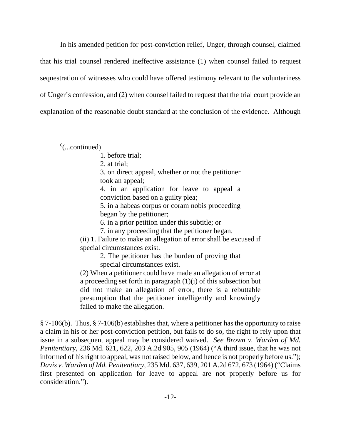In his amended petition for post-conviction relief, Unger, through counsel, claimed that his trial counsel rendered ineffective assistance (1) when counsel failed to request sequestration of witnesses who could have offered testimony relevant to the voluntariness of Unger's confession, and (2) when counsel failed to request that the trial court provide an explanation of the reasonable doubt standard at the conclusion of the evidence. Although

 $6$ (...continued)

2. at trial;

3. on direct appeal, whether or not the petitioner took an appeal;

4. in an application for leave to appeal a conviction based on a guilty plea;

5. in a habeas corpus or coram nobis proceeding began by the petitioner;

6. in a prior petition under this subtitle; or

7. in any proceeding that the petitioner began.

(ii) 1. Failure to make an allegation of error shall be excused if special circumstances exist.

2. The petitioner has the burden of proving that special circumstances exist.

(2) When a petitioner could have made an allegation of error at a proceeding set forth in paragraph (1)(i) of this subsection but did not make an allegation of error, there is a rebuttable presumption that the petitioner intelligently and knowingly failed to make the allegation.

§ 7-106(b). Thus, § 7-106(b) establishes that, where a petitioner has the opportunity to raise a claim in his or her post-conviction petition, but fails to do so, the right to rely upon that issue in a subsequent appeal may be considered waived. *See Brown v. Warden of Md. Penitentiary*, 236 Md. 621, 622, 203 A.2d 905, 905 (1964) ("A third issue, that he was not informed of his right to appeal, was not raised below, and hence is not properly before us."); *Davis v. Warden of Md. Penitentiary*, 235 Md. 637, 639, 201 A.2d 672, 673 (1964) ("Claims first presented on application for leave to appeal are not properly before us for consideration.").

<sup>1.</sup> before trial;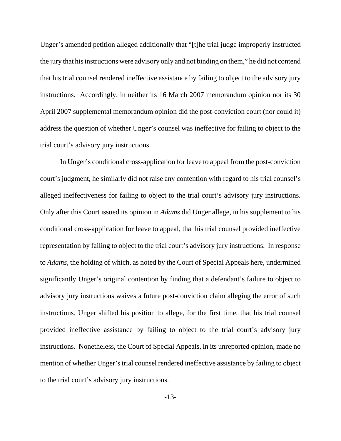Unger's amended petition alleged additionally that "[t]he trial judge improperly instructed the jury that his instructions were advisory only and not binding on them," he did not contend that his trial counsel rendered ineffective assistance by failing to object to the advisory jury instructions. Accordingly, in neither its 16 March 2007 memorandum opinion nor its 30 April 2007 supplemental memorandum opinion did the post-conviction court (nor could it) address the question of whether Unger's counsel was ineffective for failing to object to the trial court's advisory jury instructions.

In Unger's conditional cross-application for leave to appeal from the post-conviction court's judgment, he similarly did not raise any contention with regard to his trial counsel's alleged ineffectiveness for failing to object to the trial court's advisory jury instructions. Only after this Court issued its opinion in *Adams* did Unger allege, in his supplement to his conditional cross-application for leave to appeal, that his trial counsel provided ineffective representation by failing to object to the trial court's advisory jury instructions. In response to *Adams*, the holding of which, as noted by the Court of Special Appeals here, undermined significantly Unger's original contention by finding that a defendant's failure to object to advisory jury instructions waives a future post-conviction claim alleging the error of such instructions, Unger shifted his position to allege, for the first time, that his trial counsel provided ineffective assistance by failing to object to the trial court's advisory jury instructions. Nonetheless, the Court of Special Appeals, in its unreported opinion, made no mention of whether Unger's trial counsel rendered ineffective assistance by failing to object to the trial court's advisory jury instructions.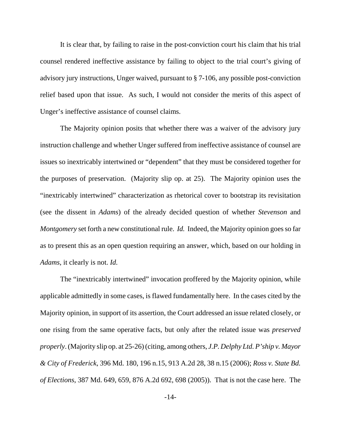It is clear that, by failing to raise in the post-conviction court his claim that his trial counsel rendered ineffective assistance by failing to object to the trial court's giving of advisory jury instructions, Unger waived, pursuant to § 7-106, any possible post-conviction relief based upon that issue. As such, I would not consider the merits of this aspect of Unger's ineffective assistance of counsel claims.

The Majority opinion posits that whether there was a waiver of the advisory jury instruction challenge and whether Unger suffered from ineffective assistance of counsel are issues so inextricably intertwined or "dependent" that they must be considered together for the purposes of preservation. (Majority slip op. at 25). The Majority opinion uses the "inextricably intertwined" characterization as rhetorical cover to bootstrap its revisitation (see the dissent in *Adams*) of the already decided question of whether *Stevenson* and *Montgomery* set forth a new constitutional rule. *Id.* Indeed, the Majority opinion goes so far as to present this as an open question requiring an answer, which, based on our holding in *Adams*, it clearly is not. *Id.*

The "inextricably intertwined" invocation proffered by the Majority opinion, while applicable admittedly in some cases, is flawed fundamentally here. In the cases cited by the Majority opinion, in support of its assertion, the Court addressed an issue related closely, or one rising from the same operative facts, but only after the related issue was *preserved properly*. (Majority slip op. at 25-26) (citing, among others, *J.P. Delphy Ltd. P'ship v. Mayor & City of Frederick*, 396 Md. 180, 196 n.15, 913 A.2d 28, 38 n.15 (2006); *Ross v. State Bd. of Elections*, 387 Md. 649, 659, 876 A.2d 692, 698 (2005)). That is not the case here. The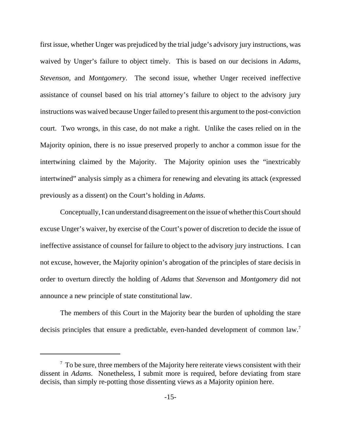first issue, whether Unger was prejudiced by the trial judge's advisory jury instructions, was waived by Unger's failure to object timely. This is based on our decisions in *Adams*, *Stevenson*, and *Montgomery*. The second issue, whether Unger received ineffective assistance of counsel based on his trial attorney's failure to object to the advisory jury instructions was waived because Unger failed to present this argument to the post-conviction court. Two wrongs, in this case, do not make a right. Unlike the cases relied on in the Majority opinion, there is no issue preserved properly to anchor a common issue for the intertwining claimed by the Majority. The Majority opinion uses the "inextricably intertwined" analysis simply as a chimera for renewing and elevating its attack (expressed previously as a dissent) on the Court's holding in *Adams*.

Conceptually, I can understand disagreement on the issue of whether this Court should excuse Unger's waiver, by exercise of the Court's power of discretion to decide the issue of ineffective assistance of counsel for failure to object to the advisory jury instructions. I can not excuse, however, the Majority opinion's abrogation of the principles of stare decisis in order to overturn directly the holding of *Adams* that *Stevenson* and *Montgomery* did not announce a new principle of state constitutional law.

The members of this Court in the Majority bear the burden of upholding the stare decisis principles that ensure a predictable, even-handed development of common law.<sup>7</sup>

 $7$  To be sure, three members of the Majority here reiterate views consistent with their dissent in *Adams*. Nonetheless, I submit more is required, before deviating from stare decisis, than simply re-potting those dissenting views as a Majority opinion here.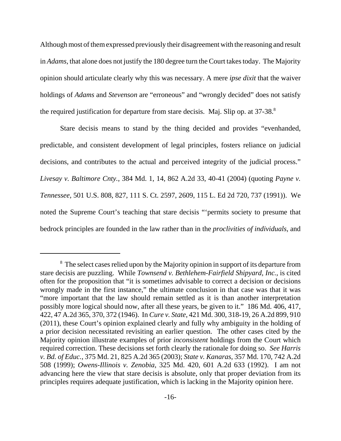Although most of them expressed previously their disagreement with the reasoning and result in *Adams*, that alone does not justify the 180 degree turn the Court takes today. The Majority opinion should articulate clearly why this was necessary. A mere *ipse dixit* that the waiver holdings of *Adams* and *Stevenson* are "erroneous" and "wrongly decided" does not satisfy the required justification for departure from stare decisis. Maj. Slip op. at 37-38.<sup>8</sup>

Stare decisis means to stand by the thing decided and provides "evenhanded, predictable, and consistent development of legal principles, fosters reliance on judicial decisions, and contributes to the actual and perceived integrity of the judicial process." *Livesay v. Baltimore Cnty.*, 384 Md. 1, 14, 862 A.2d 33, 40-41 (2004) (quoting *Payne v. Tennessee*, 501 U.S. 808, 827, 111 S. Ct. 2597, 2609, 115 L. Ed 2d 720, 737 (1991)). We noted the Supreme Court's teaching that stare decisis "'permits society to presume that bedrock principles are founded in the law rather than in the *proclivities of individuals*, and

<sup>&</sup>lt;sup>8</sup> The select cases relied upon by the Majority opinion in support of its departure from stare decisis are puzzling. While *Townsend v. Bethlehem-Fairfield Shipyard, Inc.*, is cited often for the proposition that "it is sometimes advisable to correct a decision or decisions wrongly made in the first instance," the ultimate conclusion in that case was that it was "more important that the law should remain settled as it is than another interpretation possibly more logical should now, after all these years, be given to it." 186 Md. 406, 417, 422, 47 A.2d 365, 370, 372 (1946). In *Cure v. State*, 421 Md. 300, 318-19, 26 A.2d 899, 910 (2011), these Court's opinion explained clearly and fully why ambiguity in the holding of a prior decision necessitated revisiting an earlier question. The other cases cited by the Majority opinion illustrate examples of prior *inconsistent* holdings from the Court which required correction. These decisions set forth clearly the rationale for doing so. *See Harris v. Bd. of Educ.*, 375 Md. 21, 825 A.2d 365 (2003); *State v. Kanaras*, 357 Md. 170, 742 A.2d 508 (1999); *Owens-Illinois v. Zenobia*, 325 Md. 420, 601 A.2d 633 (1992). I am not advancing here the view that stare decisis is absolute, only that proper deviation from its principles requires adequate justification, which is lacking in the Majority opinion here.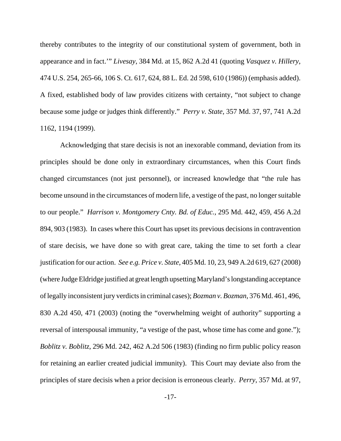thereby contributes to the integrity of our constitutional system of government, both in appearance and in fact.'" *Livesay*, 384 Md. at 15, 862 A.2d 41 (quoting *Vasquez v. Hillery*, 474 U.S. 254, 265-66, 106 S. Ct. 617, 624, 88 L. Ed. 2d 598, 610 (1986)) (emphasis added). A fixed, established body of law provides citizens with certainty, "not subject to change because some judge or judges think differently." *Perry v. State*, 357 Md. 37, 97, 741 A.2d 1162, 1194 (1999).

Acknowledging that stare decisis is not an inexorable command, deviation from its principles should be done only in extraordinary circumstances, when this Court finds changed circumstances (not just personnel), or increased knowledge that "the rule has become unsound in the circumstances of modern life, a vestige of the past, no longer suitable to our people." *Harrison v. Montgomery Cnty. Bd. of Educ.*, 295 Md. 442, 459, 456 A.2d 894, 903 (1983). In cases where this Court has upset its previous decisions in contravention of stare decisis, we have done so with great care, taking the time to set forth a clear justification for our action. *See e.g. Price v. State*, 405 Md. 10, 23, 949 A.2d 619, 627 (2008) (where Judge Eldridge justified at great length upsetting Maryland's longstanding acceptance of legally inconsistent jury verdicts in criminal cases); *Bozman v. Bozman*, 376 Md. 461, 496, 830 A.2d 450, 471 (2003) (noting the "overwhelming weight of authority" supporting a reversal of interspousal immunity, "a vestige of the past, whose time has come and gone."); *Boblitz v. Boblitz*, 296 Md. 242, 462 A.2d 506 (1983) (finding no firm public policy reason for retaining an earlier created judicial immunity). This Court may deviate also from the principles of stare decisis when a prior decision is erroneous clearly. *Perry*, 357 Md. at 97,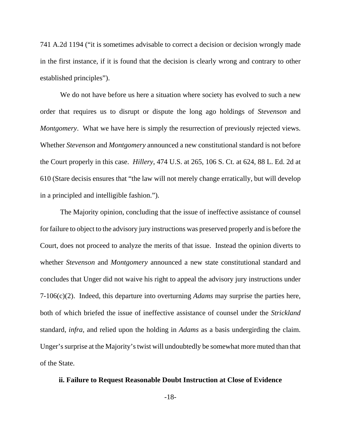741 A.2d 1194 ("it is sometimes advisable to correct a decision or decision wrongly made in the first instance, if it is found that the decision is clearly wrong and contrary to other established principles").

We do not have before us here a situation where society has evolved to such a new order that requires us to disrupt or dispute the long ago holdings of *Stevenson* and *Montgomery*. What we have here is simply the resurrection of previously rejected views. Whether *Stevenson* and *Montgomery* announced a new constitutional standard is not before the Court properly in this case. *Hillery*, 474 U.S. at 265, 106 S. Ct. at 624, 88 L. Ed. 2d at 610 (Stare decisis ensures that "the law will not merely change erratically, but will develop in a principled and intelligible fashion.").

The Majority opinion, concluding that the issue of ineffective assistance of counsel for failure to object to the advisory jury instructions was preserved properly and is before the Court, does not proceed to analyze the merits of that issue. Instead the opinion diverts to whether *Stevenson* and *Montgomery* announced a new state constitutional standard and concludes that Unger did not waive his right to appeal the advisory jury instructions under 7-106(c)(2). Indeed, this departure into overturning *Adams* may surprise the parties here, both of which briefed the issue of ineffective assistance of counsel under the *Strickland* standard*, infra*, and relied upon the holding in *Adams* as a basis undergirding the claim. Unger's surprise at the Majority's twist will undoubtedly be somewhat more muted than that of the State.

## **ii. Failure to Request Reasonable Doubt Instruction at Close of Evidence**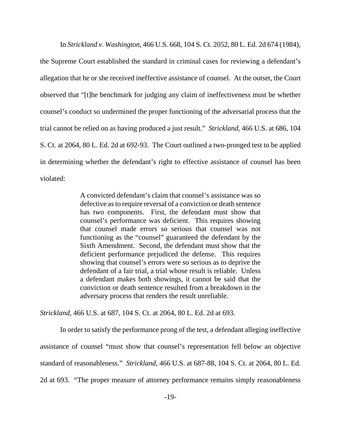In *Strickland v. Washington*, 466 U.S. 668, 104 S. Ct. 2052, 80 L. Ed. 2d 674 (1984),

the Supreme Court established the standard in criminal cases for reviewing a defendant's allegation that he or she received ineffective assistance of counsel. At the outset, the Court observed that "[t]he benchmark for judging any claim of ineffectiveness must be whether counsel's conduct so undermined the proper functioning of the adversarial process that the trial cannot be relied on as having produced a just result." *Strickland*, 466 U.S. at 686, 104 S. Ct. at 2064, 80 L. Ed. 2d at 692-93. The Court outlined a two-pronged test to be applied in determining whether the defendant's right to effective assistance of counsel has been violated:

> A convicted defendant's claim that counsel's assistance was so defective as to require reversal of a conviction or death sentence has two components. First, the defendant must show that counsel's performance was deficient. This requires showing that counsel made errors so serious that counsel was not functioning as the "counsel" guaranteed the defendant by the Sixth Amendment. Second, the defendant must show that the deficient performance prejudiced the defense. This requires showing that counsel's errors were so serious as to deprive the defendant of a fair trial, a trial whose result is reliable. Unless a defendant makes both showings, it cannot be said that the conviction or death sentence resulted from a breakdown in the adversary process that renders the result unreliable.

*Strickland*, 466 U.S. at 687, 104 S. Ct. at 2064, 80 L. Ed. 2d at 693.

In order to satisfy the performance prong of the test, a defendant alleging ineffective assistance of counsel "must show that counsel's representation fell below an objective standard of reasonableness." *Strickland*, 466 U.S. at 687-88, 104 S. Ct. at 2064, 80 L. Ed. 2d at 693. "The proper measure of attorney performance remains simply reasonableness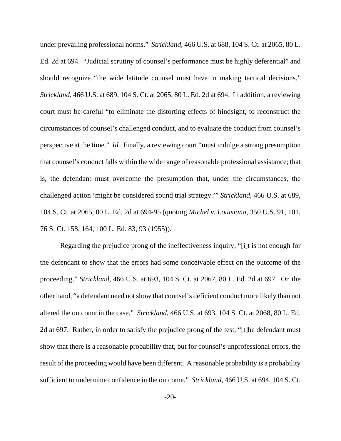under prevailing professional norms." *Strickland*, 466 U.S. at 688, 104 S. Ct. at 2065, 80 L. Ed. 2d at 694. "Judicial scrutiny of counsel's performance must be highly deferential" and should recognize "the wide latitude counsel must have in making tactical decisions." *Strickland*, 466 U.S. at 689, 104 S. Ct. at 2065, 80 L. Ed. 2d at 694. In addition, a reviewing court must be careful "to eliminate the distorting effects of hindsight, to reconstruct the circumstances of counsel's challenged conduct, and to evaluate the conduct from counsel's perspective at the time." *Id.* Finally, a reviewing court "must indulge a strong presumption that counsel's conduct falls within the wide range of reasonable professional assistance; that is, the defendant must overcome the presumption that, under the circumstances, the challenged action 'might be considered sound trial strategy.'" *Strickland*, 466 U.S. at 689, 104 S. Ct. at 2065, 80 L. Ed. 2d at 694-95 (quoting *Michel v. Louisiana*, 350 U.S. 91, 101, 76 S. Ct. 158, 164, 100 L. Ed. 83, 93 (1955)).

Regarding the prejudice prong of the ineffectiveness inquiry, "[i]t is not enough for the defendant to show that the errors had some conceivable effect on the outcome of the proceeding." *Strickland*, 466 U.S. at 693, 104 S. Ct. at 2067, 80 L. Ed. 2d at 697. On the other hand, "a defendant need not show that counsel's deficient conduct more likely than not altered the outcome in the case." *Strickland*, 466 U.S. at 693, 104 S. Ct. at 2068, 80 L. Ed. 2d at 697. Rather, in order to satisfy the prejudice prong of the test, "[t]he defendant must show that there is a reasonable probability that, but for counsel's unprofessional errors, the result of the proceeding would have been different. A reasonable probability is a probability sufficient to undermine confidence in the outcome." *Strickland*, 466 U.S. at 694, 104 S. Ct.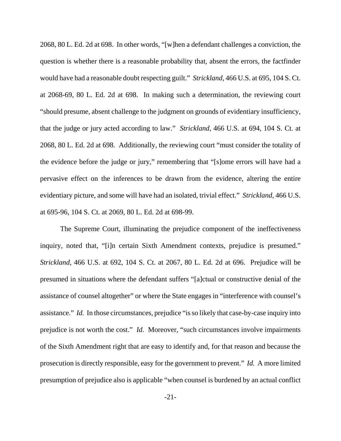2068, 80 L. Ed. 2d at 698. In other words, "[w]hen a defendant challenges a conviction, the question is whether there is a reasonable probability that, absent the errors, the factfinder would have had a reasonable doubt respecting guilt." *Strickland*, 466 U.S. at 695, 104 S. Ct. at 2068-69, 80 L. Ed. 2d at 698. In making such a determination, the reviewing court "should presume, absent challenge to the judgment on grounds of evidentiary insufficiency, that the judge or jury acted according to law." *Strickland*, 466 U.S. at 694, 104 S. Ct. at 2068, 80 L. Ed. 2d at 698. Additionally, the reviewing court "must consider the totality of the evidence before the judge or jury," remembering that "[s]ome errors will have had a pervasive effect on the inferences to be drawn from the evidence, altering the entire evidentiary picture, and some will have had an isolated, trivial effect." *Strickland*, 466 U.S. at 695-96, 104 S. Ct. at 2069, 80 L. Ed. 2d at 698-99.

The Supreme Court, illuminating the prejudice component of the ineffectiveness inquiry, noted that, "[i]n certain Sixth Amendment contexts, prejudice is presumed." *Strickland*, 466 U.S. at 692, 104 S. Ct. at 2067, 80 L. Ed. 2d at 696. Prejudice will be presumed in situations where the defendant suffers "[a]ctual or constructive denial of the assistance of counsel altogether" or where the State engages in "interference with counsel's assistance." *Id.* In those circumstances, prejudice "is so likely that case-by-case inquiry into prejudice is not worth the cost." *Id.* Moreover, "such circumstances involve impairments of the Sixth Amendment right that are easy to identify and, for that reason and because the prosecution is directly responsible, easy for the government to prevent." *Id.* A more limited presumption of prejudice also is applicable "when counsel is burdened by an actual conflict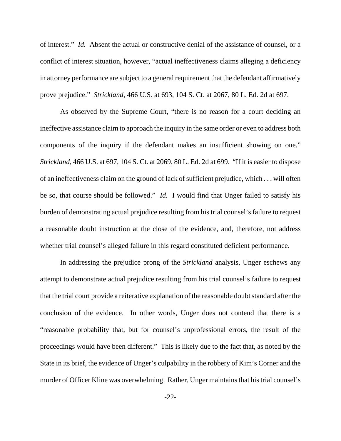of interest." *Id.* Absent the actual or constructive denial of the assistance of counsel, or a conflict of interest situation, however, "actual ineffectiveness claims alleging a deficiency in attorney performance are subject to a general requirement that the defendant affirmatively prove prejudice." *Strickland*, 466 U.S. at 693, 104 S. Ct. at 2067, 80 L. Ed. 2d at 697.

As observed by the Supreme Court, "there is no reason for a court deciding an ineffective assistance claim to approach the inquiry in the same order or even to address both components of the inquiry if the defendant makes an insufficient showing on one." *Strickland*, 466 U.S. at 697, 104 S. Ct. at 2069, 80 L. Ed. 2d at 699. "If it is easier to dispose of an ineffectiveness claim on the ground of lack of sufficient prejudice, which . . . will often be so, that course should be followed." *Id.* I would find that Unger failed to satisfy his burden of demonstrating actual prejudice resulting from his trial counsel's failure to request a reasonable doubt instruction at the close of the evidence, and, therefore, not address whether trial counsel's alleged failure in this regard constituted deficient performance.

In addressing the prejudice prong of the *Strickland* analysis, Unger eschews any attempt to demonstrate actual prejudice resulting from his trial counsel's failure to request that the trial court provide a reiterative explanation of the reasonable doubt standard after the conclusion of the evidence. In other words, Unger does not contend that there is a "reasonable probability that, but for counsel's unprofessional errors, the result of the proceedings would have been different." This is likely due to the fact that, as noted by the State in its brief, the evidence of Unger's culpability in the robbery of Kim's Corner and the murder of Officer Kline was overwhelming. Rather, Unger maintains that his trial counsel's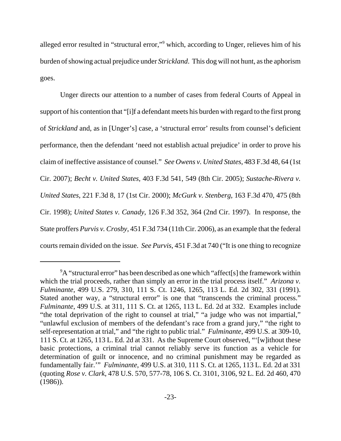alleged error resulted in "structural error,"<sup>9</sup> which, according to Unger, relieves him of his burden of showing actual prejudice under *Strickland*. This dog will not hunt, as the aphorism goes.

Unger directs our attention to a number of cases from federal Courts of Appeal in support of his contention that "[i]f a defendant meets his burden with regard to the first prong of *Strickland* and, as in [Unger's] case, a 'structural error' results from counsel's deficient performance, then the defendant 'need not establish actual prejudice' in order to prove his claim of ineffective assistance of counsel." *See Owens v. United States*, 483 F.3d 48, 64 (1st Cir. 2007); *Becht v. United States*, 403 F.3d 541, 549 (8th Cir. 2005); *Sustache-Rivera v. United States*, 221 F.3d 8, 17 (1st Cir. 2000); *McGurk v. Stenberg*, 163 F.3d 470, 475 (8th Cir. 1998); *United States v. Canady*, 126 F.3d 352, 364 (2nd Cir. 1997). In response, the State proffers *Purvis v. Crosby*, 451 F.3d 734 (11th Cir. 2006), as an example that the federal courts remain divided on the issue. *See Purvis*, 451 F.3d at 740 ("It is one thing to recognize

 $9A$  "structural error" has been described as one which "affect[s] the framework within which the trial proceeds, rather than simply an error in the trial process itself." *Arizona v. Fulminante*, 499 U.S. 279, 310, 111 S. Ct. 1246, 1265, 113 L. Ed. 2d 302, 331 (1991). Stated another way, a "structural error" is one that "transcends the criminal process." *Fulminante*, 499 U.S. at 311, 111 S. Ct. at 1265, 113 L. Ed. 2d at 332. Examples include "the total deprivation of the right to counsel at trial," "a judge who was not impartial," "unlawful exclusion of members of the defendant's race from a grand jury," "the right to self-representation at trial," and "the right to public trial." *Fulminante*, 499 U.S. at 309-10, 111 S. Ct. at 1265, 113 L. Ed. 2d at 331. As the Supreme Court observed, "'[w]ithout these basic protections, a criminal trial cannot reliably serve its function as a vehicle for determination of guilt or innocence, and no criminal punishment may be regarded as fundamentally fair.'" *Fulminante*, 499 U.S. at 310, 111 S. Ct. at 1265, 113 L. Ed. 2d at 331 (quoting *Rose v. Clark*, 478 U.S. 570, 577-78, 106 S. Ct. 3101, 3106, 92 L. Ed. 2d 460, 470 (1986)).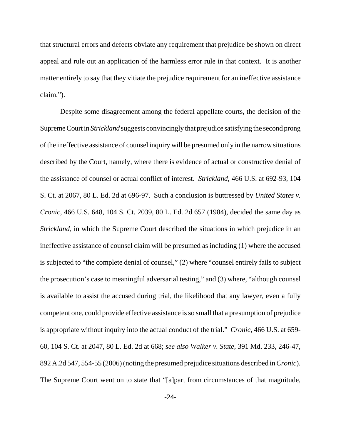that structural errors and defects obviate any requirement that prejudice be shown on direct appeal and rule out an application of the harmless error rule in that context. It is another matter entirely to say that they vitiate the prejudice requirement for an ineffective assistance claim.").

Despite some disagreement among the federal appellate courts, the decision of the Supreme Court in *Strickland* suggests convincingly that prejudice satisfying the second prong of the ineffective assistance of counsel inquiry will be presumed only in the narrow situations described by the Court, namely, where there is evidence of actual or constructive denial of the assistance of counsel or actual conflict of interest. *Strickland*, 466 U.S. at 692-93, 104 S. Ct. at 2067, 80 L. Ed. 2d at 696-97. Such a conclusion is buttressed by *United States v. Cronic*, 466 U.S. 648, 104 S. Ct. 2039, 80 L. Ed. 2d 657 (1984), decided the same day as *Strickland*, in which the Supreme Court described the situations in which prejudice in an ineffective assistance of counsel claim will be presumed as including (1) where the accused is subjected to "the complete denial of counsel," (2) where "counsel entirely fails to subject the prosecution's case to meaningful adversarial testing," and (3) where, "although counsel is available to assist the accused during trial, the likelihood that any lawyer, even a fully competent one, could provide effective assistance is so small that a presumption of prejudice is appropriate without inquiry into the actual conduct of the trial." *Cronic*, 466 U.S. at 659- 60, 104 S. Ct. at 2047, 80 L. Ed. 2d at 668; *see also Walker v. State*, 391 Md. 233, 246-47, 892 A.2d 547, 554-55 (2006) (noting the presumed prejudice situations described in *Cronic*). The Supreme Court went on to state that "[a]part from circumstances of that magnitude,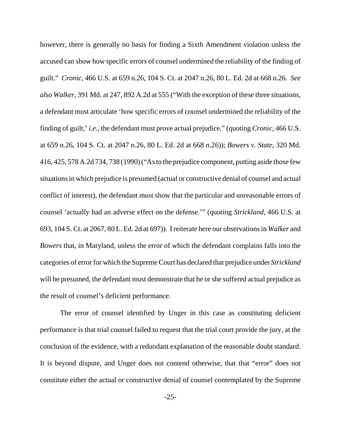however, there is generally no basis for finding a Sixth Amendment violation unless the accused can show how specific errors of counsel undermined the reliability of the finding of guilt." *Cronic*, 466 U.S. at 659 n.26, 104 S. Ct. at 2047 n.26, 80 L. Ed. 2d at 668 n.26. *See also Walker*, 391 Md. at 247, 892 A.2d at 555 ("With the exception of these three situations, a defendant must articulate 'how specific errors of counsel undermined the reliability of the finding of guilt,' *i.e.*, the defendant must prove actual prejudice." (quoting *Cronic*, 466 U.S. at 659 n.26, 104 S. Ct. at 2047 n.26, 80 L. Ed. 2d at 668 n.26)); *Bowers v. State*, 320 Md. 416, 425, 578 A.2d 734, 738 (1990) ("As to the prejudice component, putting aside those few situations in which prejudice is presumed (actual or constructive denial of counsel and actual conflict of interest), the defendant must show that the particular and unreasonable errors of counsel 'actually had an adverse effect on the defense.'" (quoting *Strickland*, 466 U.S. at 693, 104 S. Ct. at 2067, 80 L. Ed. 2d at 697)). I reiterate here our observations in *Walker* and *Bowers* that, in Maryland, unless the error of which the defendant complains falls into the categories of error for which the Supreme Court has declared that prejudice under *Strickland* will be presumed, the defendant must demonstrate that he or she suffered actual prejudice as the result of counsel's deficient performance.

The error of counsel identified by Unger in this case as constituting deficient performance is that trial counsel failed to request that the trial court provide the jury, at the conclusion of the evidence, with a redundant explanation of the reasonable doubt standard. It is beyond dispute, and Unger does not contend otherwise, that that "error" does not constitute either the actual or constructive denial of counsel contemplated by the Supreme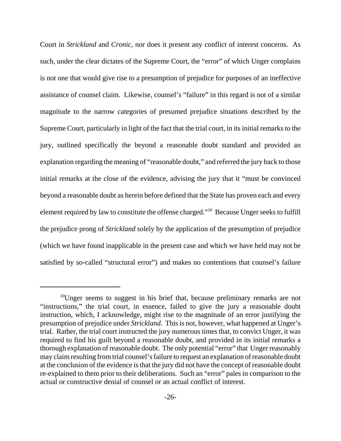Court in *Strickland* and *Cronic*, nor does it present any conflict of interest concerns. As such, under the clear dictates of the Supreme Court, the "error" of which Unger complains is not one that would give rise to a presumption of prejudice for purposes of an ineffective assistance of counsel claim. Likewise, counsel's "failure" in this regard is not of a similar magnitude to the narrow categories of presumed prejudice situations described by the Supreme Court, particularly in light of the fact that the trial court, in its initial remarks to the jury, outlined specifically the beyond a reasonable doubt standard and provided an explanation regarding the meaning of "reasonable doubt," and referred the jury back to those initial remarks at the close of the evidence, advising the jury that it "must be convinced beyond a reasonable doubt as herein before defined that the State has proven each and every element required by law to constitute the offense charged."10 Because Unger seeks to fulfill the prejudice prong of *Strickland* solely by the application of the presumption of prejudice (which we have found inapplicable in the present case and which we have held may not be satisfied by so-called "structural error") and makes no contentions that counsel's failure

 $10$ Unger seems to suggest in his brief that, because preliminary remarks are not "instructions," the trial court, in essence, failed to give the jury a reasonable doubt instruction, which, I acknowledge, might rise to the magnitude of an error justifying the presumption of prejudice under *Strickland*. This is not, however, what happened at Unger's trial. Rather, the trial court instructed the jury numerous times that, to convict Unger, it was required to find his guilt beyond a reasonable doubt, and provided in its initial remarks a thorough explanation of reasonable doubt. The only potential "error" that Unger reasonably may claim resulting from trial counsel's failure to request an explanation of reasonable doubt at the conclusion of the evidence is that the jury did not have the concept of reasonable doubt re-explained to them prior to their deliberations. Such an "error" pales in comparison to the actual or constructive denial of counsel or an actual conflict of interest.